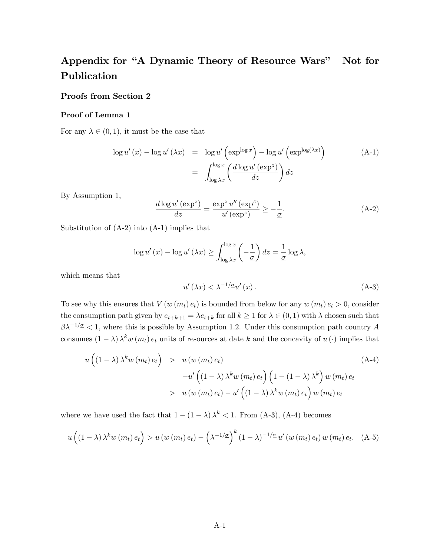# Appendix for "A Dynamic Theory of Resource Wars"—Not for Publication

# Proofs from Section 2

#### Proof of Lemma 1

For any  $\lambda \in (0, 1)$ , it must be the case that

$$
\log u'(x) - \log u'(\lambda x) = \log u' \left(\exp^{\log x}\right) - \log u' \left(\exp^{\log(\lambda x)}\right)
$$
\n
$$
= \int_{\log \lambda x}^{\log x} \left(\frac{d \log u' \left(\exp^z\right)}{dz}\right) dz
$$
\n(A-1)

By Assumption 1,

$$
\frac{d \log u' \left(\exp^z\right)}{dz} = \frac{\exp^z u'' \left(\exp^z\right)}{u' \left(\exp^z\right)} \ge -\frac{1}{\underline{\sigma}}.\tag{A-2}
$$

Substitution of (A-2) into (A-1) implies that

$$
\log u'(x) - \log u'(\lambda x) \ge \int_{\log \lambda x}^{\log x} \left(-\frac{1}{\underline{\sigma}}\right) dz = \frac{1}{\underline{\sigma}} \log \lambda,
$$

which means that

$$
u'(\lambda x) < \lambda^{-1/\underline{\sigma}} u'(x) \,. \tag{A-3}
$$

To see why this ensures that  $V(w(m_t) e_t)$  is bounded from below for any  $w(m_t) e_t > 0$ , consider the consumption path given by  $e_{t+k+1} = \lambda e_{t+k}$  for all  $k \ge 1$  for  $\lambda \in (0, 1)$  with  $\lambda$  chosen such that  $\beta \lambda^{-1/\sigma}$  < 1, where this is possible by Assumption 1.2. Under this consumption path country A consumes  $(1 - \lambda) \lambda^k w(m_t) e_t$  units of resources at date k and the concavity of  $u(\cdot)$  implies that

$$
u\left((1-\lambda)\lambda^k w(m_t) e_t\right) > u\left(w(m_t) e_t\right)
$$
  

$$
-u'\left((1-\lambda)\lambda^k w(m_t) e_t\right)\left(1-(1-\lambda)\lambda^k\right) w(m_t) e_t
$$
  

$$
> u\left(w(m_t) e_t\right) - u'\left((1-\lambda)\lambda^k w(m_t) e_t\right) w(m_t) e_t
$$
 (A-4)

where we have used the fact that  $1 - (1 - \lambda) \lambda^k < 1$ . From (A-3), (A-4) becomes

$$
u\left((1-\lambda)\lambda^k w(m_t) e_t\right) > u\left(w(m_t) e_t\right) - \left(\lambda^{-1/\underline{\sigma}}\right)^k (1-\lambda)^{-1/\underline{\sigma}} u'\left(w(m_t) e_t\right) w(m_t) e_t. \quad \text{(A-5)}
$$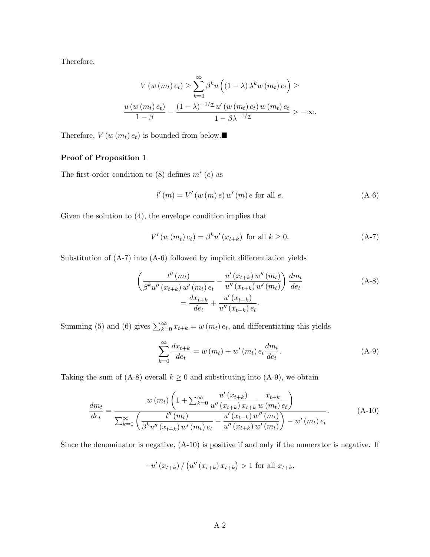Therefore,

$$
V(w(m_t) e_t) \geq \sum_{k=0}^{\infty} \beta^k u\left((1-\lambda)\lambda^k w(m_t) e_t\right) \geq
$$
  

$$
\frac{u(w(m_t) e_t)}{1-\beta} - \frac{(1-\lambda)^{-1/\underline{\sigma}} u'(w(m_t) e_t) w(m_t) e_t}{1-\beta \lambda^{-1/\underline{\sigma}}} > -\infty.
$$

Therefore,  $V(w(m_t) e_t)$  is bounded from below.

# Proof of Proposition 1

The first-order condition to  $(8)$  defines  $m^*(e)$  as

$$
l'(m) = V'(w(m) e) w'(m) e \text{ for all } e.
$$
 (A-6)

Given the solution to (4), the envelope condition implies that

$$
V'(w(m_t) e_t) = \beta^k u'(x_{t+k}) \text{ for all } k \ge 0.
$$
 (A-7)

Substitution of  $(A-7)$  into  $(A-6)$  followed by implicit differentiation yields

$$
\left(\frac{l''(m_t)}{\beta^k u''(x_{t+k})w'(m_t) e_t} - \frac{u'(x_{t+k})w''(m_t)}{u''(x_{t+k})w'(m_t)}\right)\frac{dm_t}{de_t} = \frac{dx_{t+k}}{de_t} + \frac{u'(x_{t+k})}{u''(x_{t+k}) e_t}.
$$
\n(A-8)

Summing (5) and (6) gives  $\sum_{k=0}^{\infty} x_{t+k} = w(m_t) e_t$ , and differentiating this yields

$$
\sum_{k=0}^{\infty} \frac{dx_{t+k}}{de_t} = w(m_t) + w'(m_t) e_t \frac{dm_t}{de_t}.
$$
 (A-9)

Taking the sum of (A-8) overall  $k \geq 0$  and substituting into (A-9), we obtain

$$
\frac{dm_t}{de_t} = \frac{w(m_t)\left(1 + \sum_{k=0}^{\infty} \frac{u'(x_{t+k})}{u''(x_{t+k})x_{t+k}} \frac{x_{t+k}}{w(m_t)e_t}\right)}{\sum_{k=0}^{\infty} \left(\frac{l''(m_t)}{\beta^k u''(x_{t+k}) w'(m_t)e_t} - \frac{u'(x_{t+k}) w''(m_t)}{u''(x_{t+k}) w'(m_t)}\right) - w'(m_t)e_t}.
$$
\n(A-10)

Since the denominator is negative, (A-10) is positive if and only if the numerator is negative. If

$$
-u'(x_{t+k}) / (u''(x_{t+k}) x_{t+k}) > 1
$$
 for all  $x_{t+k}$ ,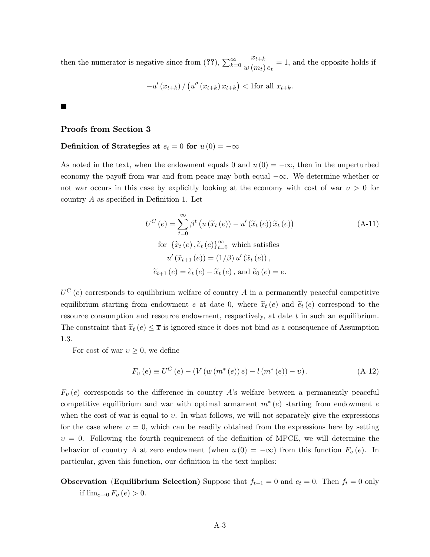then the numerator is negative since from (??),  $\sum_{k=0}^{\infty}$  $x_{t+k}$  $\frac{w_t+k}{w(m_t) e_t} = 1$ , and the opposite holds if

$$
-u'(x_{t+k})/(u''(x_{t+k})x_{t+k}) <
$$
1for all  $x_{t+k}$ .

## Proofs from Section 3

# Definition of Strategies at  $e_t = 0$  for  $u(0) = -\infty$

As noted in the text, when the endowment equals 0 and  $u(0) = -\infty$ , then in the unperturbed economy the payoff from war and from peace may both equal  $-\infty$ . We determine whether or not war occurs in this case by explicitly looking at the economy with cost of war  $v > 0$  for country  $A$  as specified in Definition 1. Let

$$
U^{C}(e) = \sum_{t=0}^{\infty} \beta^{t} \left( u\left(\tilde{x}_{t}(e)\right) - u'\left(\tilde{x}_{t}(e)\right) \tilde{x}_{t}(e) \right)
$$
\nfor  $\{\tilde{x}_{t}(e), \tilde{e}_{t}(e)\}_{t=0}^{\infty}$  which satisfies

\n
$$
u'\left(\tilde{x}_{t+1}(e)\right) = (1/\beta) u'\left(\tilde{x}_{t}(e)\right),
$$
\n
$$
\tilde{e}_{t+1}(e) = \tilde{e}_{t}(e) - \tilde{x}_{t}(e), \text{ and } \tilde{e}_{0}(e) = e.
$$
\n(A-11)

 $U^{C}(e)$  corresponds to equilibrium welfare of country A in a permanently peaceful competitive equilibrium starting from endowment e at date 0, where  $\tilde{x}_t(e)$  and  $\tilde{e}_t(e)$  correspond to the resource consumption and resource endowment, respectively, at date t in such an equilibrium. The constraint that  $\tilde{x}_t(e) \leq \overline{x}$  is ignored since it does not bind as a consequence of Assumption 1.3.

For cost of war  $v \geq 0$ , we define

$$
F_v(e) \equiv U^C(e) - (V(w(m^*(e)) e) - l(m^*(e)) - v).
$$
 (A-12)

 $F_v(e)$  corresponds to the difference in country A's welfare between a permanently peaceful competitive equilibrium and war with optimal armament  $m^*(e)$  starting from endowment e when the cost of war is equal to  $v$ . In what follows, we will not separately give the expressions for the case where  $v = 0$ , which can be readily obtained from the expressions here by setting  $v = 0$ . Following the fourth requirement of the definition of MPCE, we will determine the behavior of country A at zero endowment (when  $u(0) = -\infty$ ) from this function  $F_v(e)$ . In particular, given this function, our definition in the text implies:

**Observation (Equilibrium Selection)** Suppose that  $f_{t-1} = 0$  and  $e_t = 0$ . Then  $f_t = 0$  only if  $\lim_{e\to 0} F_v(e) > 0$ .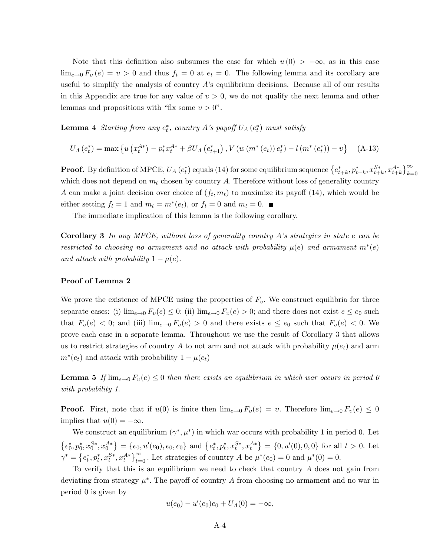Note that this definition also subsumes the case for which  $u(0) > -\infty$ , as in this case  $\lim_{e\to 0} F_v(e) = v > 0$  and thus  $f_t = 0$  at  $e_t = 0$ . The following lemma and its corollary are useful to simplify the analysis of country A's equilibrium decisions. Because all of our results in this Appendix are true for any value of  $v > 0$ , we do not qualify the next lemma and other lemmas and propositions with "fix some  $v > 0$ ".

**Lemma 4** Starting from any  $e_t^*$ , country A's payoff  $U_A(e_t^*)$  must satisfy

$$
U_A(e_t^*) = \max \left\{ u \left( x_t^{A*} \right) - p_t^* x_t^{A*} + \beta U_A \left( e_{t+1}^* \right), V \left( w \left( m^* \left( e_t \right) \right) e_t^* \right) - l \left( m^* \left( e_t^* \right) \right) - v \right\} \tag{A-13}
$$

**Proof.** By definition of MPCE,  $U_A(e_t^*)$  equals (14) for some equilibrium sequence  ${e_{t+k}^*, p_{t+k}^*, x_{t+k}^{S*}, x_{t+k}^{A*}}_{\geq 0}^{\infty}$ which does not depend on  $m_t$  chosen by country A. Therefore without loss of generality country A can make a joint decision over choice of  $(f_t, m_t)$  to maximize its payoff (14), which would be either setting  $f_t = 1$  and  $m_t = m^*(e_t)$ , or  $f_t = 0$  and  $m_t = 0$ .

The immediate implication of this lemma is the following corollary.

**Corollary 3** In any MPCE, without loss of generality country A's strategies in state  $e$  can be restricted to choosing no armament and no attack with probability  $\mu(e)$  and armament  $m^*(e)$ and attack with probability  $1 - \mu(e)$ .

#### Proof of Lemma 2

We prove the existence of MPCE using the properties of  $F_v$ . We construct equilibria for three separate cases: (i)  $\lim_{e\to 0} F_v(e) \leq 0$ ; (ii)  $\lim_{e\to 0} F_v(e) > 0$ ; and there does not exist  $e \leq e_0$  such that  $F_v(e) < 0$ ; and (iii)  $\lim_{e\to 0} F_v(e) > 0$  and there exists  $e \le e_0$  such that  $F_v(e) < 0$ . We prove each case in a separate lemma. Throughout we use the result of Corollary 3 that allows us to restrict strategies of country A to not arm and not attack with probability  $\mu(e_t)$  and arm  $m^*(e_t)$  and attack with probability  $1 - \mu(e_t)$ 

**Lemma 5** If  $\lim_{\epsilon \to 0} F_v(e) \leq 0$  then there exists an equilibrium in which war occurs in period 0 with probability 1.

**Proof.** First, note that if  $u(0)$  is finite then  $\lim_{e\to 0} F_v(e) = v$ . Therefore  $\lim_{e\to 0} F_v(e) \leq 0$ implies that  $u(0) = -\infty$ .

We construct an equilibrium  $(\gamma^*, \mu^*)$  in which war occurs with probability 1 in period 0. Let  ${e_0^*, p_0^*, x_0^{S*}, x_0^{A*}} = {e_0, u'(e_0), e_0, e_0}$  and  ${e_t^*, p_t^*, x_t^{S*}, x_t^{A*}} = {0, u'(0), 0, 0}$  for all  $t > 0$ . Let  $\gamma^* = \left\{e_t^*, p_t^*, x_t^{S*}, x_t^{A*}\right\}_{t=0}^{\infty}$ . Let strategies of country A be  $\mu^*(e_0) = 0$  and  $\mu^*(0) = 0$ .

To verify that this is an equilibrium we need to check that country  $A$  does not gain from deviating from strategy  $\mu^*$ . The payoff of country A from choosing no armament and no war in period 0 is given by

$$
u(e_0) - u'(e_0)e_0 + U_A(0) = -\infty,
$$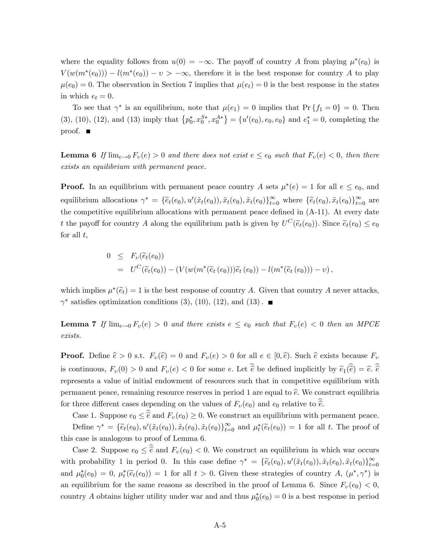where the equality follows from  $u(0) = -\infty$ . The payoff of country A from playing  $\mu^*(e_0)$  is  $V(w(m^*(e_0))) - l(m^*(e_0)) - v > -\infty$ , therefore it is the best response for country A to play  $\mu(e_0) = 0.$  The observation in Section 7 implies that  $\mu(e_t) = 0$  is the best response in the states in which  $e_t = 0$ .

To see that  $\gamma^*$  is an equilibrium, note that  $\mu(e_1) = 0$  implies that  $\Pr\{f_1 = 0\} = 0$ . Then (3), (10), (12), and (13) imply that  $\{p_0^*, x_0^{S*}, x_0^{A*}\} = \{u'(e_0), e_0, e_0\}$  and  $e_1^* = 0$ , completing the proof.  $\blacksquare$ 

**Lemma 6** If  $\lim_{e\to 0} F_v(e) > 0$  and there does not exist  $e \le e_0$  such that  $F_v(e) < 0$ , then there exists an equilibrium with permanent peace.

**Proof.** In an equilibrium with permanent peace country A sets  $\mu^*(e) = 1$  for all  $e \le e_0$ , and equilibrium allocations  $\gamma^* = \{\tilde{e}_t(e_0), u'(\tilde{x}_t(e_0)), \tilde{x}_t(e_0), \tilde{x}_t(e_0)\}_{t=0}^{\infty}$  where  $\{\tilde{e}_t(e_0), \tilde{x}_t(e_0)\}_{t=0}^{\infty}$  are the competitive equilibrium allocations with permanent peace defined in  $(A-11)$ . At every date t the payoff for country A along the equilibrium path is given by  $U^C(\tilde{e}_t(e_0))$ . Since  $\tilde{e}_t(e_0) \le e_0$ for all  $t$ ,

$$
0 \leq F_{\upsilon}(\widetilde{e}_t(e_0))
$$
  
=  $U^C(\widetilde{e}_t(e_0)) - (V(w(m^*(\widetilde{e}_t(e_0)))\widetilde{e}_t(e_0)) - l(m^*(\widetilde{e}_t(e_0))) - \upsilon),$ 

which implies  $\mu^*(\tilde{e}_t) = 1$  is the best response of country A. Given that country A never attacks,  $\gamma^*$  satisfies optimization conditions (3), (10), (12), and (13).

**Lemma 7** If  $\lim_{e\to 0} F_v(e) > 0$  and there exists  $e \le e_0$  such that  $F_v(e) < 0$  then an MPCE exists.

**Proof.** Define  $\hat{e} > 0$  s.t.  $F_v(\hat{e}) = 0$  and  $F_v(e) > 0$  for all  $e \in [0, \hat{e})$ . Such  $\hat{e}$  exists because  $F_v$ is continuous,  $F_v(0) > 0$  and  $F_v(e) < 0$  for some e. Let  $\hat{e}$  be defined implicitly by  $\tilde{e}_1(\hat{e}) = \hat{e}$ .  $\hat{e}$ represents a value of initial endowment of resources such that in competitive equilibrium with permanent peace, remaining resource reserves in period 1 are equal to  $\hat{e}$ . We construct equilibria for three different cases depending on the values of  $F_v(e_0)$  and  $e_0$  relative to  $\hat{e}$ .

Case 1. Suppose  $e_0 \leq \hat{\hat{e}}$  and  $F_v(e_0) \geq 0$ . We construct an equilibrium with permanent peace. Define  $\gamma^* = {\tilde{e}_t(e_0), u'(\tilde{x}_t(e_0)), \tilde{x}_t(e_0), \tilde{x}_t(e_0)}_{t=0}^{\infty}$  and  $\mu_t^*(\tilde{e}_t(e_0)) = 1$  for all t. The proof of this case is analogous to proof of Lemma 6.

Case 2. Suppose  $e_0 \leq \hat{e}$  and  $F_v(e_0) < 0$ . We construct an equilibrium in which war occurs with probability 1 in period 0. In this case define  $\gamma^* = {\tilde{e}_t(e_0), u'(\tilde{x}_t(e_0)), \tilde{x}_t(e_0), \tilde{x}_t(e_0)}_{t=0}^{\infty}$ and  $\mu_0^*(e_0) = 0$ ,  $\mu_t^*(\tilde{e}_t(e_0)) = 1$  for all  $t > 0$ . Given these strategies of country  $A$ ,  $(\mu^*, \gamma^*)$  is an equilibrium for the same reasons as described in the proof of Lemma 6. Since  $F_v(e_0) < 0$ , country A obtains higher utility under war and and thus  $\mu_0^*(e_0) = 0$  is a best response in period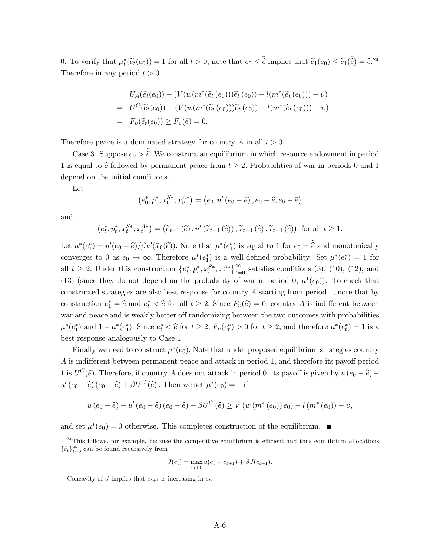0. To verify that  $\mu_t^*(\tilde{e}_t(e_0)) = 1$  for all  $t > 0$ , note that  $e_0 \leq \hat{e}$  implies that  $\tilde{e}_1(e_0) \leq \tilde{e}_1(\hat{e}) = \hat{e}^{24}$ Therefore in any period  $t > 0$ 

$$
U_A(\widetilde{e}_t(e_0)) - (V(w(m^*(\widetilde{e}_t(e_0)))\widetilde{e}_t(e_0)) - l(m^*(\widetilde{e}_t(e_0))) - v)
$$
  
= 
$$
U^C(\widetilde{e}_t(e_0)) - (V(w(m^*(\widetilde{e}_t(e_0)))\widetilde{e}_t(e_0)) - l(m^*(\widetilde{e}_t(e_0))) - v)
$$
  
= 
$$
F_v(\widetilde{e}_t(e_0)) \ge F_v(\widetilde{e}) = 0.
$$

Therefore peace is a dominated strategy for country A in all  $t > 0$ .

Case 3. Suppose  $e_0 > \hat{e}$ . We construct an equilibrium in which resource endowment in period 1 is equal to  $\hat{e}$  followed by permanent peace from  $t \geq 2$ . Probabilities of war in periods 0 and 1 depend on the initial conditions.

Let

$$
(e_0^*, p_0^*, x_0^{S*}, x_0^{A*}) = (e_0, u'(e_0 - \hat{e}), e_0 - \hat{e}, e_0 - \hat{e})
$$

and

$$
\left(e_t^*, p_t^*, x_t^{S*}, x_t^{A*}\right) = \left(\widetilde{e}_{t-1}\left(\widehat{e}\right), u'\left(\widetilde{x}_{t-1}\left(\widehat{e}\right)\right), \widetilde{x}_{t-1}\left(\widehat{e}\right), \widetilde{x}_{t-1}\left(\widehat{e}\right)\right) \text{ for all } t \ge 1.
$$

Let  $\mu^*(e_1^*) = u'(e_0 - \hat{e})/\beta u'(\tilde{x}_0(\hat{e}))$ . Note that  $\mu^*(e_1^*)$  is equal to 1 for  $e_0 = \hat{e}$  and monotonically converges to 0 as  $e_0 \to \infty$ . Therefore  $\mu^*(e_1^*)$  is a well-defined probability. Set  $\mu^*(e_t^*) = 1$  for all  $t \geq 2$ . Under this construction  $\{e_t^*, p_t^*, x_t^{S*}, x_t^{A*}\}_{t=0}^{\infty}$  satisfies conditions (3), (10), (12), and (13) (since they do not depend on the probability of war in period 0,  $\mu^*(e_0)$ ). To check that constructed strategies are also best response for country A starting from period 1, note that by construction  $e_1^* = \hat{e}$  and  $e_t^* < \hat{e}$  for all  $t \geq 2$ . Since  $F_v(\hat{e}) = 0$ , country A is indifferent between war and peace and is weakly better off randomizing between the two outcomes with probabilities  $\mu^*(e_1^*)$  and  $1 - \mu^*(e_1^*)$ . Since  $e_t^* < \hat{e}$  for  $t \ge 2$ ,  $F_v(e_t^*) > 0$  for  $t \ge 2$ , and therefore  $\mu^*(e_t^*) = 1$  is a best response analogously to Case 1.

Finally we need to construct  $\mu^*(e_0)$ . Note that under proposed equilibrium strategies country A is indifferent between permanent peace and attack in period 1, and therefore its payoff period 1 is  $U^C(\hat{e})$ . Therefore, if country A does not attack in period 0, its payoff is given by  $u(e_0 - \hat{e})$  –  $u'(e_0 - \hat{e}) (e_0 - \hat{e}) + \beta U^C (\hat{e})$ . Then we set  $\mu^*(e_0) = 1$  if

$$
u(e_0 - \hat{e}) - u'(e_0 - \hat{e}) (e_0 - \hat{e}) + \beta U^C (\hat{e}) \ge V(w (m^*(e_0)) e_0) - l(m^*(e_0)) - v,
$$

and set  $\mu^*(e_0) = 0$  otherwise. This completes construction of the equilibrium.

$$
J(e_t) = \max_{e_{t+1}} u(e_t - e_{t+1}) + \beta J(e_{t+1}).
$$

Concavity of J implies that  $e_{t+1}$  is increasing in  $e_t$ .

 $24$ This follows, for example, because the competitive equilibrium is efficient and thus equilibrium allocations  $\{\tilde{e}_t\}_{t=0}^{\infty}$  can be found recursively from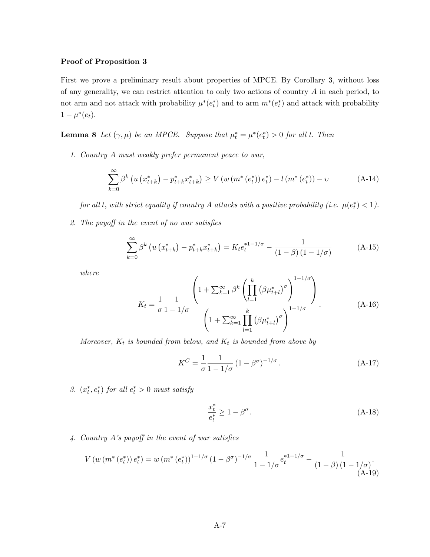# Proof of Proposition 3

First we prove a preliminary result about properties of MPCE. By Corollary 3, without loss of any generality, we can restrict attention to only two actions of country A in each period, to not arm and not attack with probability  $\mu^*(e_t^*)$  and to arm  $m^*(e_t^*)$  and attack with probability  $1 - \mu^*(e_t).$ 

**Lemma 8** Let  $(\gamma, \mu)$  be an MPCE. Suppose that  $\mu_t^* = \mu^*(e_t^*) > 0$  for all t. Then

1. Country A must weakly prefer permanent peace to war,

$$
\sum_{k=0}^{\infty} \beta^k \left( u \left( x_{t+k}^* \right) - p_{t+k}^* x_{t+k}^* \right) \ge V \left( w \left( m^* \left( e_t^* \right) \right) e_t^* \right) - l \left( m^* \left( e_t^* \right) \right) - v \tag{A-14}
$$

for all t, with strict equality if country A attacks with a positive probability (i.e.  $\mu(e_t^*) < 1$ ).

2. The payoff in the event of no war satisfies

$$
\sum_{k=0}^{\infty} \beta^k \left( u \left( x_{t+k}^* \right) - p_{t+k}^* x_{t+k}^* \right) = K_t e_t^{*1-1/\sigma} - \frac{1}{(1-\beta)(1-1/\sigma)}
$$
(A-15)

where

$$
K_{t} = \frac{1}{\sigma} \frac{1}{1 - 1/\sigma} \frac{\left(1 + \sum_{k=1}^{\infty} \beta^{k} \left(\prod_{l=1}^{k} \left(\beta \mu_{t+l}^{*}\right)^{\sigma}\right)^{1 - 1/\sigma}\right)}{\left(1 + \sum_{k=1}^{\infty} \prod_{l=1}^{k} \left(\beta \mu_{t+l}^{*}\right)^{\sigma}\right)^{1 - 1/\sigma}}.
$$
\n(A-16)

Moreover,  $K_t$  is bounded from below, and  $K_t$  is bounded from above by

$$
K^{C} = \frac{1}{\sigma} \frac{1}{1 - 1/\sigma} \left(1 - \beta^{\sigma}\right)^{-1/\sigma}.
$$
 (A-17)

3.  $(x_t^*, e_t^*)$  for all  $e_t^* > 0$  must satisfy

$$
\frac{x_t^*}{e_t^*} \ge 1 - \beta^{\sigma}.\tag{A-18}
$$

 $\Delta$ . Country A's payoff in the event of war satisfies

$$
V(w (m^*(e_t^*)) e_t^*) = w (m^*(e_t^*))^{1-1/\sigma} (1-\beta^{\sigma})^{-1/\sigma} \frac{1}{1-1/\sigma} e_t^{1-1/\sigma} - \frac{1}{(1-\beta)(1-1/\sigma)}.
$$
\n(A-19)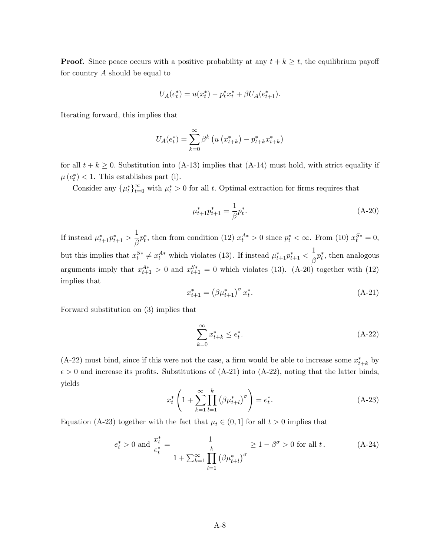**Proof.** Since peace occurs with a positive probability at any  $t + k \geq t$ , the equilibrium payoff for country  $A$  should be equal to

$$
U_A(e_t^*) = u(x_t^*) - p_t^* x_t^* + \beta U_A(e_{t+1}^*).
$$

Iterating forward, this implies that

$$
U_A(e_t^*) = \sum_{k=0}^{\infty} \beta^k \left( u \left( x_{t+k}^* \right) - p_{t+k}^* x_{t+k}^* \right)
$$

for all  $t + k \geq 0$ . Substitution into (A-13) implies that (A-14) must hold, with strict equality if  $\mu(e_t^*)$  < 1. This establishes part (i).

Consider any  $\{\mu_t^*\}_{t=0}^{\infty}$  with  $\mu_t^* > 0$  for all t. Optimal extraction for firms requires that

$$
\mu_{t+1}^* p_{t+1}^* = \frac{1}{\beta} p_t^*.
$$
\n(A-20)

If instead  $\mu_{t+1}^* p_{t+1}^* > \frac{1}{\beta}$  $\frac{1}{\beta}p_t^*$ , then from condition (12)  $x_t^{A*} > 0$  since  $p_t^* < \infty$ . From (10)  $x_t^{S*} = 0$ , but this implies that  $x_t^{S*} \neq x_t^{A*}$  which violates (13). If instead  $\mu_{t+1}^* p_{t+1}^* < \frac{1}{\beta}$  $\frac{1}{\beta}p_t^*$ , then analogous arguments imply that  $x_{t+1}^{A*} > 0$  and  $x_{t+1}^{S*} = 0$  which violates (13). (A-20) together with (12) implies that

$$
x_{t+1}^* = \left(\beta \mu_{t+1}^*\right)^\sigma x_t^*.
$$
\n(A-21)

Forward substitution on (3) implies that

$$
\sum_{k=0}^{\infty} x_{t+k}^* \le e_t^*.
$$
\n(A-22)

 $(A-22)$  must bind, since if this were not the case, a firm would be able to increase some  $x^*_{t+k}$  by  $\epsilon > 0$  and increase its profits. Substitutions of (A-21) into (A-22), noting that the latter binds, yields

$$
x_t^* \left( 1 + \sum_{k=1}^{\infty} \prod_{l=1}^k (\beta \mu_{t+l}^*)^{\sigma} \right) = e_t^*.
$$
 (A-23)

Equation (A-23) together with the fact that  $\mu_t \in (0, 1]$  for all  $t > 0$  implies that

$$
e_t^* > 0
$$
 and  $\frac{x_t^*}{e_t^*} = \frac{1}{1 + \sum_{k=1}^{\infty} \prod_{l=1}^k (\beta \mu_{t+l}^*)^{\sigma}} \ge 1 - \beta^{\sigma} > 0$  for all  $t$ . (A-24)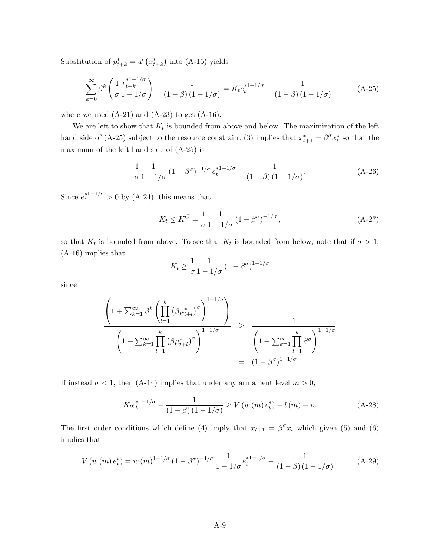Substitution of  $p_{t+k}^* = u' (x_{t+k}^*)$  into (A-15) yields

$$
\sum_{k=0}^{\infty} \beta^k \left( \frac{1}{\sigma} \frac{x_{t+k}^{*1-1/\sigma}}{1-1/\sigma} \right) - \frac{1}{(1-\beta)(1-1/\sigma)} = K_t e_t^{*1-1/\sigma} - \frac{1}{(1-\beta)(1-1/\sigma)}
$$
(A-25)

where we used  $(A-21)$  and  $(A-23)$  to get  $(A-16)$ .

We are left to show that  $K_t$  is bounded from above and below. The maximization of the left hand side of (A-25) subject to the resource constraint (3) implies that  $x_{t+1}^* = \beta^{\sigma} x_t^*$  so that the maximum of the left hand side of (A-25) is

$$
\frac{1}{\sigma} \frac{1}{1 - 1/\sigma} \left(1 - \beta^{\sigma}\right)^{-1/\sigma} e_t^{*1 - 1/\sigma} - \frac{1}{(1 - \beta)\left(1 - 1/\sigma\right)}.\tag{A-26}
$$

Since  $e_t^{*1-1/\sigma} > 0$  by (A-24), this means that

$$
K_t \le K^C = \frac{1}{\sigma} \frac{1}{1 - 1/\sigma} \left(1 - \beta^{\sigma}\right)^{-1/\sigma},\tag{A-27}
$$

so that  $K_t$  is bounded from above. To see that  $K_t$  is bounded from below, note that if  $\sigma > 1$ , (A-16) implies that

$$
K_t \ge \frac{1}{\sigma} \frac{1}{1 - 1/\sigma} \left(1 - \beta^{\sigma}\right)^{1 - 1/\sigma}
$$

since

$$
\frac{\left(1+\sum_{k=1}^{\infty}\beta^{k}\left(\prod_{l=1}^{k}\left(\beta\mu_{t+l}^{*}\right)^{\sigma}\right)^{1-1/\sigma}}{\left(1+\sum_{k=1}^{\infty}\prod_{l=1}^{k}\left(\beta\mu_{t+l}^{*}\right)^{\sigma}\right)^{1-1/\sigma}} \ge \frac{1}{\left(1+\sum_{k=1}^{\infty}\prod_{l=1}^{k}\beta^{\sigma}\right)^{1-1/\sigma}}
$$

$$
= (1-\beta^{\sigma})^{1-1/\sigma}
$$

If instead  $\sigma$  < 1, then (A-14) implies that under any armament level  $m > 0$ ,

$$
K_t e_t^{*1-1/\sigma} - \frac{1}{(1-\beta)(1-1/\sigma)} \ge V(w(m) e_t^*) - l(m) - v.
$$
 (A-28)

The first order conditions which define (4) imply that  $x_{t+1} = \beta^{\sigma} x_t$  which given (5) and (6) implies that

$$
V(w(m) e_t^*) = w(m)^{1 - 1/\sigma} (1 - \beta^{\sigma})^{-1/\sigma} \frac{1}{1 - 1/\sigma} e_t^{1 - 1/\sigma} - \frac{1}{(1 - \beta)(1 - 1/\sigma)}.
$$
 (A-29)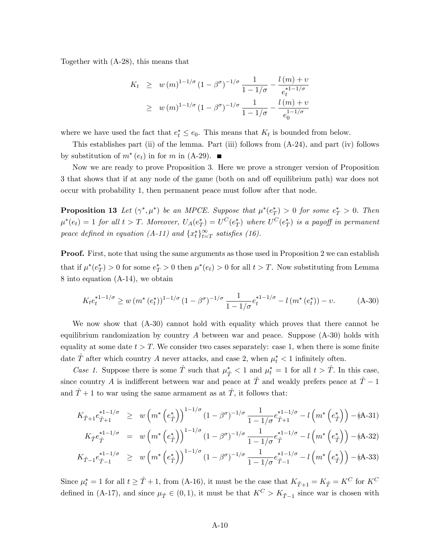Together with (A-28), this means that

$$
K_t \geq w(m)^{1-1/\sigma} (1-\beta^{\sigma})^{-1/\sigma} \frac{1}{1-1/\sigma} - \frac{l(m)+v}{e_t^{*1-1/\sigma}}
$$
  
 
$$
\geq w(m)^{1-1/\sigma} (1-\beta^{\sigma})^{-1/\sigma} \frac{1}{1-1/\sigma} - \frac{l(m)+v}{e_0^{1-1/\sigma}}
$$

where we have used the fact that  $e_t^* \leq e_0$ . This means that  $K_t$  is bounded from below.

This establishes part (ii) of the lemma. Part (iii) follows from  $(A-24)$ , and part (iv) follows by substitution of  $m^*(e_t)$  in for m in (A-29).

Now we are ready to prove Proposition 3. Here we prove a stronger version of Proposition 3 that shows that if at any node of the game (both on and off equilibrium path) war does not occur with probability 1, then permanent peace must follow after that node.

**Proposition 13** Let  $(\gamma^*, \mu^*)$  be an MPCE. Suppose that  $\mu^*(e_T^*) > 0$  for some  $e_T^* > 0$ . Then  $\mu^*(e_t) = 1$  for all  $t > T$ . Moreover,  $U_A(e_T^*) = U^C(e_T^*)$  where  $U^C(e_T^*)$  is a payoff in permanent peace defined in equation (A-11) and  $\{x_t^*\}_{t=T}^{\infty}$  satisfies (16).

Proof. First, note that using the same arguments as those used in Proposition 2 we can establish that if  $\mu^*(e^*_T) > 0$  for some  $e^*_T > 0$  then  $\mu^*(e_t) > 0$  for all  $t > T$ . Now substituting from Lemma 8 into equation (A-14), we obtain

$$
K_t e_t^{*1-1/\sigma} \ge w \left( m^* \left( e_t^* \right) \right)^{1-1/\sigma} \left( 1 - \beta^{\sigma} \right)^{-1/\sigma} \frac{1}{1-1/\sigma} e_t^{*1-1/\sigma} - l \left( m^* \left( e_t^* \right) \right) - v. \tag{A-30}
$$

We now show that (A-30) cannot hold with equality which proves that there cannot be equilibrium randomization by country  $A$  between war and peace. Suppose  $(A-30)$  holds with equality at some date  $t > T$ . We consider two cases separately: case 1, when there is some finite date  $\hat{T}$  after which country A never attacks, and case 2, when  $\mu_t^* < 1$  infinitely often.

Case 1. Suppose there is some  $\hat{T}$  such that  $\mu_{\hat{T}}^* < 1$  and  $\mu_t^* = 1$  for all  $t > \hat{T}$ . In this case, since country A is indifferent between war and peace at  $T$  and weakly prefers peace at  $T - 1$ and  $T + 1$  to war using the same armament as at  $T$ , it follows that:

$$
K_{\hat{T}+1}e_{\hat{T}+1}^{*1-1/\sigma} \geq w \left(m^*\left(e_{\hat{T}}^*\right)\right)^{1-1/\sigma} (1-\beta^{\sigma})^{-1/\sigma} \frac{1}{1-1/\sigma} e_{\hat{T}+1}^{*1-1/\sigma} - l \left(m^*\left(e_{\hat{T}}^*\right)\right) - (\mathbf{A}\cdot\mathbf{3}1)
$$
  
\n
$$
K_{\hat{T}}e_{\hat{T}}^{*1-1/\sigma} = w \left(m^*\left(e_{\hat{T}}^*\right)\right)^{1-1/\sigma} (1-\beta^{\sigma})^{-1/\sigma} \frac{1}{1-1/\sigma} e_{\hat{T}}^{*1-1/\sigma} - l \left(m^*\left(e_{\hat{T}}^*\right)\right) - (\mathbf{A}\cdot\mathbf{3}2)
$$
  
\n
$$
K_{\hat{T}-1}e_{\hat{T}-1}^{*1-1/\sigma} \geq w \left(m^*\left(e_{\hat{T}}^*\right)\right)^{1-1/\sigma} (1-\beta^{\sigma})^{-1/\sigma} \frac{1}{1-1/\sigma} e_{\hat{T}-1}^{*1-1/\sigma} - l \left(m^*\left(e_{\hat{T}}^*\right)\right) - (\mathbf{A}\cdot\mathbf{3}3)
$$

Since  $\mu_t^* = 1$  for all  $t \geq \hat{T} + 1$ , from (A-16), it must be the case that  $K_{\hat{T}+1} = K_{\hat{T}} = K^C$  for  $K^C$ defined in (A-17), and since  $\mu_{\hat{T}} \in (0, 1)$ , it must be that  $K^C > K_{\hat{T}-1}$  since war is chosen with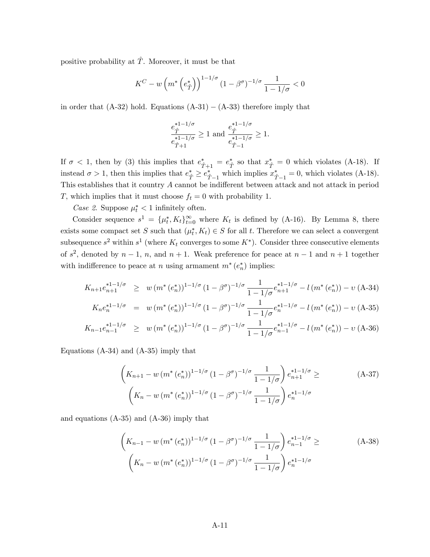positive probability at  $\hat{T}$ . Moreover, it must be that

$$
K^{C} - w \left( m^{*} \left( e_{\hat{T}}^{*} \right) \right)^{1 - 1/\sigma} (1 - \beta^{\sigma})^{-1/\sigma} \frac{1}{1 - 1/\sigma} < 0
$$

in order that  $(A-32)$  hold. Equations  $(A-31) - (A-33)$  therefore imply that

$$
\frac{e_{\hat{T}}^{*1-1/\sigma}}{e_{\hat{T}+1}^{*1-1/\sigma}} \geq 1 \text{ and } \frac{e_{\hat{T}}^{*1-1/\sigma}}{e_{\hat{T}-1}^{*1-1/\sigma}} \geq 1.
$$

If  $\sigma < 1$ , then by (3) this implies that  $e_{\hat{T}+1}^* = e_{\hat{T}}^*$  so that  $x_{\hat{T}}^* = 0$  which violates (A-18). If instead  $\sigma > 1$ , then this implies that  $e_{\hat{T}}^* \geq e_{\hat{T}-1}^*$  which implies  $x_{\hat{T}-1}^* = 0$ , which violates (A-18). This establishes that it country  $A$  cannot be indifferent between attack and not attack in period T, which implies that it must choose  $f_t = 0$  with probability 1.

Case 2. Suppose  $\mu_t^* < 1$  infinitely often.

Consider sequence  $s^1 = {\mu_t^*, K_t}_{t=0}^{\infty}$  where  $K_t$  is defined by (A-16). By Lemma 8, there exists some compact set S such that  $(\mu_t^*, K_t) \in S$  for all t. Therefore we can select a convergent subsequence  $s^2$  within  $s^1$  (where  $K_t$  converges to some  $K^*$ ). Consider three consecutive elements of  $s^2$ , denoted by  $n-1$ , n, and  $n+1$ . Weak preference for peace at  $n-1$  and  $n+1$  together with indifference to peace at n using armament  $m^*(e_n^*)$  implies:

$$
K_{n+1}e_{n+1}^{*1-1/\sigma} \geq w \left(m^*\left(e_n^*\right)\right)^{1-1/\sigma} \left(1-\beta^{\sigma}\right)^{-1/\sigma} \frac{1}{1-1/\sigma} e_{n+1}^{*1-1/\sigma} - l \left(m^*\left(e_n^*\right)\right) - v \left(A\text{-}34\right)
$$

$$
K_n e_n^{*1-1/\sigma} = w (m^* (e_n^*))^{1-1/\sigma} (1-\beta^{\sigma})^{-1/\sigma} \frac{1}{1-1/\sigma} e_n^{*1-1/\sigma} - l (m^* (e_n^*)) - v (A-35)
$$

$$
K_{n-1}e_{n-1}^{*1-1/\sigma} \geq w \left(m^*\left(e_n^*\right)\right)^{1-1/\sigma} (1-\beta^{\sigma})^{-1/\sigma} \frac{1}{1-1/\sigma} e_{n-1}^{*1-1/\sigma} - l \left(m^*\left(e_n^*\right)\right) - v \left(A\text{-}36\right)
$$

Equations (A-34) and (A-35) imply that

$$
\left(K_{n+1} - w \left(m^*(e_n^*)\right)^{1-1/\sigma} (1 - \beta^{\sigma})^{-1/\sigma} \frac{1}{1 - 1/\sigma}\right) e_{n+1}^{*1-1/\sigma} \ge (A-37)
$$
\n
$$
\left(K_n - w \left(m^*(e_n^*)\right)^{1-1/\sigma} (1 - \beta^{\sigma})^{-1/\sigma} \frac{1}{1 - 1/\sigma}\right) e_n^{*1-1/\sigma}
$$

and equations (A-35) and (A-36) imply that

$$
\left(K_{n-1} - w\left(m^*\left(e_n^*\right)\right)^{1-1/\sigma} (1-\beta^{\sigma})^{-1/\sigma} \frac{1}{1-1/\sigma}\right) e_{n-1}^{*1-1/\sigma} \ge (A-38)
$$
\n
$$
\left(K_n - w\left(m^*\left(e_n^*\right)\right)^{1-1/\sigma} (1-\beta^{\sigma})^{-1/\sigma} \frac{1}{1-1/\sigma}\right) e_n^{*1-1/\sigma}
$$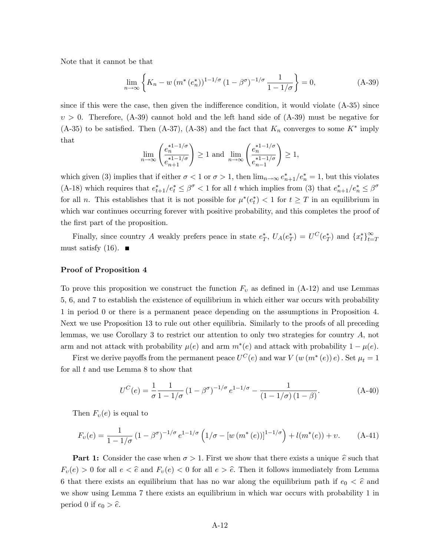Note that it cannot be that

$$
\lim_{n \to \infty} \left\{ K_n - w \left( m^* \left( e_n^* \right) \right)^{1 - 1/\sigma} \left( 1 - \beta^{\sigma} \right)^{-1/\sigma} \frac{1}{1 - 1/\sigma} \right\} = 0, \tag{A-39}
$$

since if this were the case, then given the indifference condition, it would violate  $(A-35)$  since  $v > 0$ . Therefore,  $(A-39)$  cannot hold and the left hand side of  $(A-39)$  must be negative for  $(A-35)$  to be satisfied. Then  $(A-37)$ ,  $(A-38)$  and the fact that  $K_n$  converges to some  $K^*$  imply that

$$
\lim_{n \to \infty} \left( \frac{e_n^{*1-1/\sigma}}{e_{n+1}^{*1-1/\sigma}} \right) \ge 1 \text{ and } \lim_{n \to \infty} \left( \frac{e_n^{*1-1/\sigma}}{e_{n-1}^{*1-1/\sigma}} \right) \ge 1,
$$

which given (3) implies that if either  $\sigma < 1$  or  $\sigma > 1$ , then  $\lim_{n\to\infty} e_{n+1}^*/e_n^* = 1$ , but this violates (A-18) which requires that  $e_{t+1}^*/e_t^* \leq \beta^{\sigma} < 1$  for all t which implies from (3) that  $e_{n+1}^*/e_n^* \leq \beta^{\sigma}$ for all *n*. This establishes that it is not possible for  $\mu^*(e_t^*) < 1$  for  $t \geq T$  in an equilibrium in which war continues occurring forever with positive probability, and this completes the proof of the first part of the proposition.

Finally, since country A weakly prefers peace in state  $e^*_T$ ,  $U_A(e^*_T) = U^C(e^*_T)$  and  $\{x^*_t\}_{t=T}^{\infty}$ must satisfy  $(16)$ .

#### Proof of Proposition 4

To prove this proposition we construct the function  $F_v$  as defined in  $(A-12)$  and use Lemmas 5, 6, and 7 to establish the existence of equilibrium in which either war occurs with probability 1 in period 0 or there is a permanent peace depending on the assumptions in Proposition 4. Next we use Proposition 13 to rule out other equilibria. Similarly to the proofs of all preceding lemmas, we use Corollary 3 to restrict our attention to only two strategies for country  $A$ , not arm and not attack with probability  $\mu(e)$  and arm  $m^*(e)$  and attack with probability  $1 - \mu(e)$ .

First we derive payoffs from the permanent peace  $U^C(e)$  and war  $V(w(m^*(e))e)$  . Set  $\mu_t = 1$ for all t and use Lemma 8 to show that

$$
U^{C}(e) = \frac{1}{\sigma} \frac{1}{1 - 1/\sigma} \left(1 - \beta^{\sigma}\right)^{-1/\sigma} e^{1 - 1/\sigma} - \frac{1}{(1 - 1/\sigma)(1 - \beta)}.
$$
 (A-40)

Then  $F_v(e)$  is equal to

$$
F_{\nu}(e) = \frac{1}{1 - 1/\sigma} \left(1 - \beta^{\sigma}\right)^{-1/\sigma} e^{1 - 1/\sigma} \left(1/\sigma - \left[w\left(m^*(e)\right)\right]^{1 - 1/\sigma}\right) + l(m^*(e)) + \nu. \tag{A-41}
$$

**Part 1:** Consider the case when  $\sigma > 1$ . First we show that there exists a unique  $\hat{e}$  such that  $F_v(e) > 0$  for all  $e < \hat{e}$  and  $F_v(e) < 0$  for all  $e > \hat{e}$ . Then it follows immediately from Lemma 6 that there exists an equilibrium that has no war along the equilibrium path if  $e_0 < \hat{e}$  and we show using Lemma 7 there exists an equilibrium in which war occurs with probability 1 in period 0 if  $e_0 > \hat{e}$ .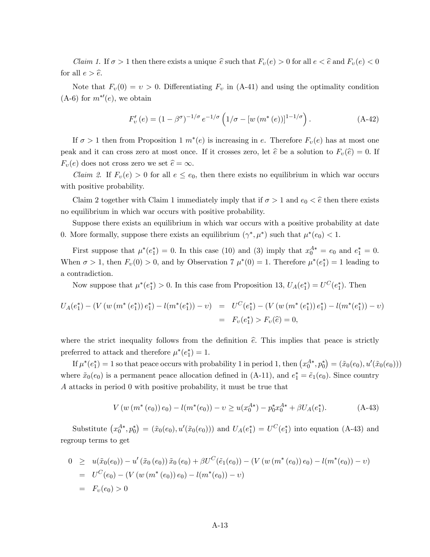*Claim 1.* If  $\sigma > 1$  then there exists a unique  $\hat{e}$  such that  $F_v(e) > 0$  for all  $e < \hat{e}$  and  $F_v(e) < 0$ for all  $e > \hat{e}$ .

Note that  $F_v(0) = v > 0$ . Differentiating  $F_v$  in (A-41) and using the optimality condition  $(A-6)$  for  $m^{*/}(e)$ , we obtain

$$
F'_{\nu}(e) = (1 - \beta^{\sigma})^{-1/\sigma} e^{-1/\sigma} \left( 1/\sigma - [w(m^*(e))]^{1-1/\sigma} \right).
$$
 (A-42)

If  $\sigma > 1$  then from Proposition 1  $m^*(e)$  is increasing in e. Therefore  $F_v(e)$  has at most one peak and it can cross zero at most once. If it crosses zero, let  $\hat{e}$  be a solution to  $F_v(\hat{e}) = 0$ . If  $F_v(e)$  does not cross zero we set  $\hat{e} = \infty$ .

*Claim 2.* If  $F_v(e) > 0$  for all  $e \le e_0$ , then there exists no equilibrium in which war occurs with positive probability.

Claim 2 together with Claim 1 immediately imply that if  $\sigma > 1$  and  $e_0 < \hat{e}$  then there exists no equilibrium in which war occurs with positive probability.

Suppose there exists an equilibrium in which war occurs with a positive probability at date 0. More formally, suppose there exists an equilibrium  $(\gamma^*, \mu^*)$  such that  $\mu^*(e_0) < 1$ .

First suppose that  $\mu^*(e_1^*) = 0$ . In this case (10) and (3) imply that  $x_0^{A*} = e_0$  and  $e_1^* = 0$ . When  $\sigma > 1$ , then  $F_v(0) > 0$ , and by Observation 7  $\mu^*(0) = 1$ . Therefore  $\mu^*(e_1^*) = 1$  leading to a contradiction.

Now suppose that  $\mu^*(e_1^*) > 0$ . In this case from Proposition 13,  $U_A(e_1^*) = U^C(e_1^*)$ . Then

$$
U_A(e_1^*) - (V(w(m^*(e_1^*)) e_1^*) - l(m^*(e_1^*)) - v) = U^C(e_1^*) - (V(w(m^*(e_1^*)) e_1^*) - l(m^*(e_1^*)) - v)
$$
  
=  $F_v(e_1^*) > F_v(\hat{e}) = 0,$ 

where the strict inequality follows from the definition  $\hat{e}$ . This implies that peace is strictly preferred to attack and therefore  $\mu^*(e_1^*) = 1$ .

If  $\mu^*(e_1^*) = 1$  so that peace occurs with probability 1 in period 1, then  $(x_0^{A*}, p_0^*) = (\tilde{x}_0(e_0), u'(\tilde{x}_0(e_0)))$ where  $\tilde{x}_0(e_0)$  is a permanent peace allocation defined in (A-11), and  $e_1^* = \tilde{e}_1(e_0)$ . Since country A attacks in period 0 with positive probability, it must be true that

$$
V(w(m^*(e_0))e_0) - l(m^*(e_0)) - v \ge u(x_0^{A*}) - p_0^*x_0^{A*} + \beta U_A(e_1^*).
$$
 (A-43)

Substitute  $(x_0^{A*}, p_0^*) = (\tilde{x}_0(e_0), u'(\tilde{x}_0(e_0)))$  and  $U_A(e_1^*) = U^C(e_1^*)$  into equation (A-43) and regroup terms to get

$$
0 \geq u(\tilde{x}_0(e_0)) - u'(\tilde{x}_0(e_0)) \tilde{x}_0(e_0) + \beta U^C(\tilde{e}_1(e_0)) - (V(w(m^*(e_0)) e_0) - l(m^*(e_0)) - v)
$$
  
=  $U^C(e_0) - (V(w(m^*(e_0)) e_0) - l(m^*(e_0)) - v)$   
=  $F_v(e_0) > 0$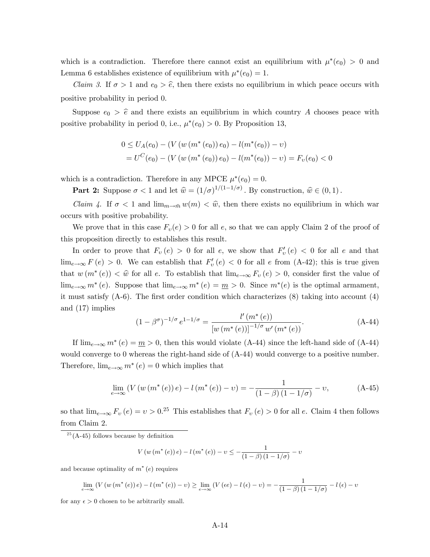which is a contradiction. Therefore there cannot exist an equilibrium with  $\mu^*(e_0) > 0$  and Lemma 6 establishes existence of equilibrium with  $\mu^*(e_0) = 1$ .

*Claim 3.* If  $\sigma > 1$  and  $e_0 > \hat{e}$ , then there exists no equilibrium in which peace occurs with positive probability in period 0.

Suppose  $e_0 > \hat{e}$  and there exists an equilibrium in which country A chooses peace with positive probability in period 0, i.e.,  $\mu^*(e_0) > 0$ . By Proposition 13,

$$
0 \le U_A(e_0) - (V(w(m^*(e_0)) e_0) - l(m^*(e_0)) - v)
$$
  
=  $U^C(e_0) - (V(w(m^*(e_0)) e_0) - l(m^*(e_0)) - v) = F_v(e_0) < 0$ 

which is a contradiction. Therefore in any MPCE  $\mu^*(e_0) = 0$ .

**Part 2:** Suppose  $\sigma < 1$  and let  $\hat{w} = (1/\sigma)^{1/(1-1/\sigma)}$ . By construction,  $\hat{w} \in (0, 1)$ .

*Claim 4.* If  $\sigma < 1$  and  $\lim_{m \to \bar{m}} w(m) < \hat{w}$ , then there exists no equilibrium in which war occurs with positive probability.

We prove that in this case  $F_v(e) > 0$  for all e, so that we can apply Claim 2 of the proof of this proposition directly to establishes this result.

In order to prove that  $F_v(e) > 0$  for all e, we show that  $F'_v(e) < 0$  for all e and that  $\lim_{e\to\infty} F(e) > 0$ . We can establish that  $F'_v(e) < 0$  for all e from (A-42); this is true given that  $w(m^*(e)) < \hat{w}$  for all e. To establish that  $\lim_{e\to\infty} F_v(e) > 0$ , consider first the value of  $\lim_{e\to\infty} m^*(e)$ . Suppose that  $\lim_{e\to\infty} m^*(e) = \underline{m} > 0$ . Since  $m^*(e)$  is the optimal armament, it must satisfy  $(A-6)$ . The first order condition which characterizes  $(8)$  taking into account  $(4)$ and (17) implies (e))

$$
(1 - \beta^{\sigma})^{-1/\sigma} e^{1 - 1/\sigma} = \frac{l'(m^*(e))}{[w(m^*(e))]^{-1/\sigma} w'(m^*(e))}.
$$
 (A-44)

If  $\lim_{e\to\infty} m^*(e) = m > 0$ , then this would violate (A-44) since the left-hand side of (A-44) would converge to 0 whereas the right-hand side of (A-44) would converge to a positive number. Therefore,  $\lim_{e\to\infty} m^*(e) = 0$  which implies that

$$
\lim_{e \to \infty} \left( V \left( w \left( m^*(e) \right) e \right) - l \left( m^*(e) \right) - v \right) = -\frac{1}{(1 - \beta)(1 - 1/\sigma)} - v,\tag{A-45}
$$

so that  $\lim_{e\to\infty} F_v(e) = v > 0^{25}$  This establishes that  $F_v(e) > 0$  for all e. Claim 4 then follows from Claim 2.

$$
V(w (m^{*} (e)) e) - l (m^{*} (e)) - v \leq - \frac{1}{(1 - \beta) (1 - 1/\sigma)} - v
$$

and because optimality of  $m^*(e)$  requires

$$
\lim_{e \to \infty} \left( V \left( w \left( m^*(e) \right) e \right) - l \left( m^*(e) \right) - v \right) \ge \lim_{e \to \infty} \left( V \left( \epsilon e \right) - l \left( \epsilon \right) - v \right) = -\frac{1}{\left( 1 - \beta \right) \left( 1 - 1/\sigma \right)} - l \left( \epsilon \right) - v
$$

for any  $\epsilon > 0$  chosen to be arbitrarily small.

 $2<sup>5</sup>(A-45)$  follows because by definition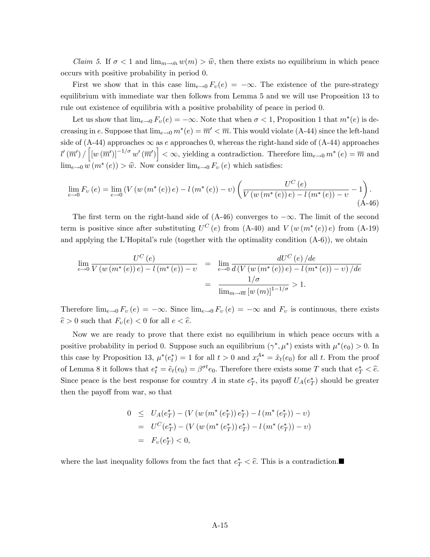*Claim 5.* If  $\sigma < 1$  and  $\lim_{m \to \bar{m}} w(m) > \hat{w}$ , then there exists no equilibrium in which peace occurs with positive probability in period 0.

First we show that in this case  $\lim_{e\to 0} F_v(e) = -\infty$ . The existence of the pure-strategy equilibrium with immediate war then follows from Lemma 5 and we will use Proposition 13 to rule out existence of equilibria with a positive probability of peace in period 0.

Let us show that  $\lim_{e\to 0} F_v(e) = -\infty$ . Note that when  $\sigma < 1$ , Proposition 1 that  $m^*(e)$  is decreasing in e. Suppose that  $\lim_{e\to 0} m^*(e) = \overline{m}' < \overline{m}$ . This would violate (A-44) since the left-hand side of (A-44) approaches  $\infty$  as e approaches 0, whereas the right-hand side of (A-44) approaches  $\left[l'(\overline{m}')\right] \left[w(\overline{m}')\right]^{-1/\sigma} w'(\overline{m}')\right] < \infty$ , yielding a contradiction. Therefore  $\lim_{e\to 0} m^*(e) = \overline{m}$  and  $\lim_{e\to 0} w(m^*(e)) > \hat{w}$ . Now consider  $\lim_{e\to 0} F_v(e)$  which satisfies:

$$
\lim_{e \to 0} F_v(e) = \lim_{e \to 0} \left( V(w(m^*(e)) e) - l(m^*(e)) - v \right) \left( \frac{U^C(e)}{V(w(m^*(e)) e) - l(m^*(e)) - v} - 1 \right). \tag{A-46}
$$

The first term on the right-hand side of  $(A-46)$  converges to  $-\infty$ . The limit of the second term is positive since after substituting  $U^C(e)$  from  $(A-40)$  and  $V(w(m^*(e))e)$  from  $(A-19)$ and applying the L'Hopital's rule (together with the optimality condition  $(A-6)$ ), we obtain

$$
\lim_{e \to 0} \frac{U^C(e)}{V(w(m^*(e)) e) - l(m^*(e)) - v} = \lim_{e \to 0} \frac{dU^C(e)}{d(V(w(m^*(e)) e) - l(m^*(e)) - v)/de}
$$

$$
= \frac{1/\sigma}{\lim_{m \to \overline{m}} [w(m)]^{1-1/\sigma}} > 1.
$$

Therefore  $\lim_{e\to 0} F_v (e) = -\infty$ . Since  $\lim_{e\to 0} F_v (e) = -\infty$  and  $F_v$  is continuous, there exists  $\hat{e} > 0$  such that  $F_v(e) < 0$  for all  $e < \hat{e}$ .

Now we are ready to prove that there exist no equilibrium in which peace occurs with a positive probability in period 0. Suppose such an equilibrium  $(\gamma^*, \mu^*)$  exists with  $\mu^*(e_0) > 0$ . In this case by Proposition 13,  $\mu^*(e_t^*) = 1$  for all  $t > 0$  and  $x_t^{A*} = \tilde{x}_t(e_0)$  for all t. From the proof of Lemma 8 it follows that  $e_t^* = \tilde{e}_t(e_0) = \beta^{\sigma t} e_0$ . Therefore there exists some T such that  $e_T^* < \hat{e}$ . Since peace is the best response for country A in state  $e^*_T$ , its payoff  $U_A(e^*_T)$  should be greater then the payoff from war, so that

$$
0 \leq U_A(e_T^*) - (V(w(m^*(e_T^*)) e_T^*) - l(m^*(e_T^*)) - v)
$$
  
=  $U^C(e_T^*) - (V(w(m^*(e_T^*)) e_T^*) - l(m^*(e_T^*)) - v)$   
=  $F_v(e_T^*) < 0$ ,

where the last inequality follows from the fact that  $e^*$ <sub>T</sub>  $\lt \hat{e}$ . This is a contradiction.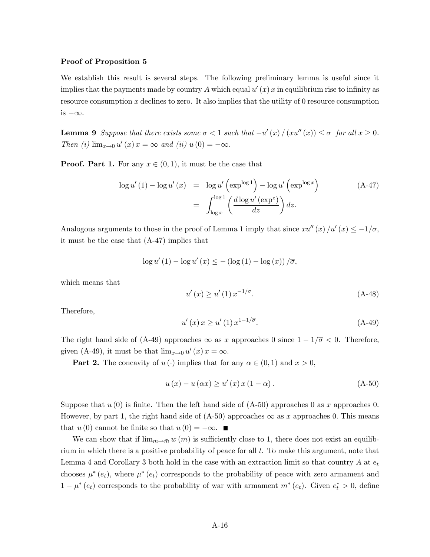#### Proof of Proposition 5

We establish this result is several steps. The following preliminary lemma is useful since it implies that the payments made by country A which equal  $u'(x)$  x in equilibrium rise to infinity as resource consumption  $x$  declines to zero. It also implies that the utility of 0 resource consumption is  $-\infty$ .

**Lemma 9** Suppose that there exists some  $\overline{\sigma} < 1$  such that  $-u'(x) / (x u''(x)) \leq \overline{\sigma}$  for all  $x \geq 0$ . Then (i)  $\lim_{x \to 0} u'(x) x = \infty$  and (ii)  $u(0) = -\infty$ .

**Proof. Part 1.** For any  $x \in (0, 1)$ , it must be the case that

$$
\log u'(1) - \log u'(x) = \log u' \left(\exp^{\log 1}\right) - \log u' \left(\exp^{\log x}\right)
$$
\n
$$
= \int_{\log x}^{\log 1} \left(\frac{d \log u' \left(\exp^z\right)}{dz}\right) dz.
$$
\n(A-47)

Analogous arguments to those in the proof of Lemma 1 imply that since  $xu''(x)/u'(x) \leq -1/\overline{\sigma}$ , it must be the case that (A-47) implies that

$$
\log u'(1) - \log u'(x) \leq - (\log(1) - \log(x)) / \overline{\sigma},
$$

which means that

$$
u'(x) \ge u'(1) x^{-1/\overline{\sigma}}.
$$
\n(A-48)

Therefore,

$$
u'(x) x \ge u'(1) x^{1-1/\overline{\sigma}}.
$$
 (A-49)

The right hand side of (A-49) approaches  $\infty$  as x approaches 0 since  $1-1/\overline{\sigma} < 0$ . Therefore, given (A-49), it must be that  $\lim_{x\to 0} u'(x) x = \infty$ .

**Part 2.** The concavity of  $u(\cdot)$  implies that for any  $\alpha \in (0,1)$  and  $x > 0$ ,

$$
u(x) - u(\alpha x) \ge u'(x) x (1 - \alpha).
$$
 (A-50)

Suppose that  $u(0)$  is finite. Then the left hand side of  $(A-50)$  approaches 0 as x approaches 0. However, by part 1, the right hand side of  $(A-50)$  approaches  $\infty$  as x approaches 0. This means that  $u(0)$  cannot be finite so that  $u(0) = -\infty$ .

We can show that if  $\lim_{m\to\bar{m}} w(m)$  is sufficiently close to 1, there does not exist an equilibrium in which there is a positive probability of peace for all  $t$ . To make this argument, note that Lemma 4 and Corollary 3 both hold in the case with an extraction limit so that country A at  $e_t$ chooses  $\mu^*(e_t)$ , where  $\mu^*(e_t)$  corresponds to the probability of peace with zero armament and  $1 - \mu^*(e_t)$  corresponds to the probability of war with armament  $m^*(e_t)$ . Given  $e_t^* > 0$ , define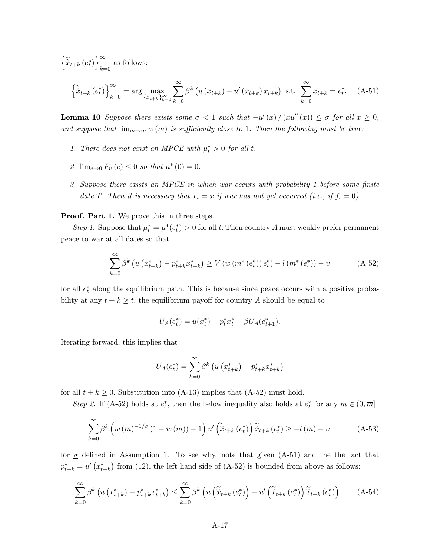$\left\{ \widetilde{\widetilde{x}}_{t+k}\left(e_{t}^{\ast}\right)\right\} _{k=1}^{\infty}$  $_{k=0}$  as follows:

$$
\left\{ \tilde{\tilde{x}}_{t+k} \left( e_t^* \right) \right\}_{k=0}^{\infty} = \arg \max_{\{x_{t+k}\}_{k=0}^{\infty}} \sum_{k=0}^{\infty} \beta^k \left( u \left( x_{t+k} \right) - u' \left( x_{t+k} \right) x_{t+k} \right) \text{ s.t. } \sum_{k=0}^{\infty} x_{t+k} = e_t^*.
$$
 (A-51)

**Lemma 10** Suppose there exists some  $\overline{\sigma} < 1$  such that  $-u'(x)/(xu''(x)) \leq \overline{\sigma}$  for all  $x \geq 0$ , and suppose that  $\lim_{m\to\bar{m}} w(m)$  is sufficiently close to 1. Then the following must be true:

- 1. There does not exist an MPCE with  $\mu_t^* > 0$  for all t.
- 2.  $\lim_{e \to 0} F_v(e) \leq 0$  so that  $\mu^*(0) = 0$ .
- 3. Suppose there exists an MPCE in which war occurs with probability 1 before some finite date T. Then it is necessary that  $x_t = \overline{x}$  if war has not yet occurred (i.e., if  $f_t = 0$ ).

#### Proof. Part 1. We prove this in three steps.

Step 1. Suppose that  $\mu_t^* = \mu^*(e_t^*) > 0$  for all t. Then country A must weakly prefer permanent peace to war at all dates so that

$$
\sum_{k=0}^{\infty} \beta^k \left( u \left( x_{t+k}^* \right) - p_{t+k}^* x_{t+k}^* \right) \ge V \left( w \left( m^* \left( e_t^* \right) \right) e_t^* \right) - l \left( m^* \left( e_t^* \right) \right) - v \tag{A-52}
$$

for all  $e_t^*$  along the equilibrium path. This is because since peace occurs with a positive probability at any  $t + k \geq t$ , the equilibrium payoff for country A should be equal to

$$
U_A(e_t^*) = u(x_t^*) - p_t^* x_t^* + \beta U_A(e_{t+1}^*).
$$

Iterating forward, this implies that

$$
U_A(e_t^*) = \sum_{k=0}^{\infty} \beta^k \left( u \left( x_{t+k}^* \right) - p_{t+k}^* x_{t+k}^* \right)
$$

for all  $t + k \geq 0$ . Substitution into (A-13) implies that (A-52) must hold.

Step 2. If (A-52) holds at  $e_t^*$ , then the below inequality also holds at  $e_t^*$  for any  $m \in (0, \overline{m}]$ 

$$
\sum_{k=0}^{\infty} \beta^k \left( w \left( m \right)^{-1/\underline{\sigma}} (1 - w \left( m \right)) - 1 \right) u' \left( \tilde{\tilde{x}}_{t+k} \left( e_t^* \right) \right) \tilde{\tilde{x}}_{t+k} \left( e_t^* \right) \ge -l \left( m \right) - v \tag{A-53}
$$

for  $\sigma$  defined in Assumption 1. To see why, note that given (A-51) and the the fact that  $p_{t+k}^* = u'(x_{t+k}^*)$  from (12), the left hand side of (A-52) is bounded from above as follows:

$$
\sum_{k=0}^{\infty} \beta^k \left( u \left( x_{t+k}^* \right) - p_{t+k}^* x_{t+k}^* \right) \le \sum_{k=0}^{\infty} \beta^k \left( u \left( \tilde{\tilde{x}}_{t+k} \left( e_t^* \right) \right) - u' \left( \tilde{\tilde{x}}_{t+k} \left( e_t^* \right) \right) \tilde{\tilde{x}}_{t+k} \left( e_t^* \right) \right). \tag{A-54}
$$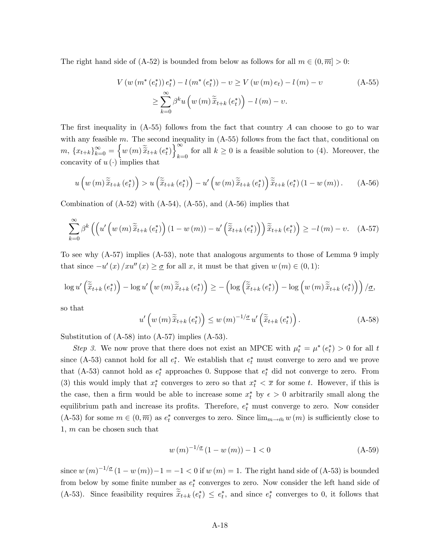The right hand side of (A-52) is bounded from below as follows for all  $m \in (0, \overline{m}] > 0$ :

$$
V(w(m^*(e_t^*)) e_t^*) - l(m^*(e_t^*)) - v \ge V(w(m) e_t) - l(m) - v
$$
\n
$$
\ge \sum_{k=0}^{\infty} \beta^k u(w(m) \tilde{x}_{t+k}(e_t^*)) - l(m) - v.
$$
\n(A-55)

The first inequality in  $(A-55)$  follows from the fact that country A can choose to go to war with any feasible  $m$ . The second inequality in  $(A-55)$  follows from the fact that, conditional on  $m, \, \left\{ x_{t+k} \right\}_{k=0}^{\infty} = \left\{ w \left( m \right) \widetilde{\widetilde{x}}_{t+k} \left( e_t^* \right) \right\}_{k=0}^{\infty}$ for all  $k \geq 0$  is a feasible solution to (4). Moreover, the concavity of  $u(\cdot)$  implies that

$$
u\left(w\left(m\right)\widetilde{\tilde{x}}_{t+k}\left(e_{t}^{*}\right)\right) > u\left(\widetilde{\tilde{x}}_{t+k}\left(e_{t}^{*}\right)\right) - u'\left(w\left(m\right)\widetilde{\tilde{x}}_{t+k}\left(e_{t}^{*}\right)\right)\widetilde{\tilde{x}}_{t+k}\left(e_{t}^{*}\right)\left(1 - w\left(m\right)\right). \tag{A-56}
$$

Combination of  $(A-52)$  with  $(A-54)$ ,  $(A-55)$ , and  $(A-56)$  implies that

$$
\sum_{k=0}^{\infty} \beta^{k} \left( \left( u' \left( w \left( m \right) \tilde{\tilde{x}}_{t+k} \left( e_{t}^{*} \right) \right) \left( 1 - w \left( m \right) \right) - u' \left( \tilde{\tilde{x}}_{t+k} \left( e_{t}^{*} \right) \right) \right) \tilde{\tilde{x}}_{t+k} \left( e_{t}^{*} \right) \right) \geq -l \left( m \right) - v. \quad \text{(A-57)}
$$

To see why (A-57) implies (A-53), note that analogous arguments to those of Lemma 9 imply that since  $-u'(x)/xu''(x) \geq \underline{\sigma}$  for all x, it must be that given  $w(m) \in (0,1)$ :

$$
\log u' \left( \widetilde{\tilde{x}}_{t+k} \left( e_t^* \right) \right) - \log u' \left( w \left( m \right) \widetilde{\tilde{x}}_{t+k} \left( e_t^* \right) \right) \ge - \left( \log \left( \widetilde{\tilde{x}}_{t+k} \left( e_t^* \right) \right) - \log \left( w \left( m \right) \widetilde{\tilde{x}}_{t+k} \left( e_t^* \right) \right) \right) / \underline{\sigma},
$$

so that

$$
u'\left(w\left(m\right)\widetilde{\tilde{x}}_{t+k}\left(e_t^*\right)\right) \le w\left(m\right)^{-1/\underline{\sigma}} u'\left(\widetilde{\tilde{x}}_{t+k}\left(e_t^*\right)\right). \tag{A-58}
$$

Substitution of (A-58) into (A-57) implies (A-53).

Step 3. We now prove that there does not exist an MPCE with  $\mu_t^* = \mu^*(e_t^*) > 0$  for all t since (A-53) cannot hold for all  $e_t^*$ . We establish that  $e_t^*$  must converge to zero and we prove that (A-53) cannot hold as  $e_t^*$  approaches 0. Suppose that  $e_t^*$  did not converge to zero. From (3) this would imply that  $x_t^*$  converges to zero so that  $x_t^* < \overline{x}$  for some t. However, if this is the case, then a firm would be able to increase some  $x_t^*$  by  $\epsilon > 0$  arbitrarily small along the equilibrium path and increase its profits. Therefore,  $e_t^*$  must converge to zero. Now consider  $(A-53)$  for some  $m \in (0, \overline{m})$  as  $e_t^*$  converges to zero. Since  $\lim_{m \to \overline{m}} w(m)$  is sufficiently close to 1, m can be chosen such that

$$
w(m)^{-1/\underline{\sigma}}(1 - w(m)) - 1 < 0 \tag{A-59}
$$

since  $w(m)^{-1/\underline{\sigma}}(1 - w(m)) - 1 = -1 < 0$  if  $w(m) = 1$ . The right hand side of (A-53) is bounded from below by some finite number as  $e_t^*$  converges to zero. Now consider the left hand side of (A-53). Since feasibility requires  $\tilde{x}_{t+k} (e_t^*) \leq e_t^*$ , and since  $e_t^*$  converges to 0, it follows that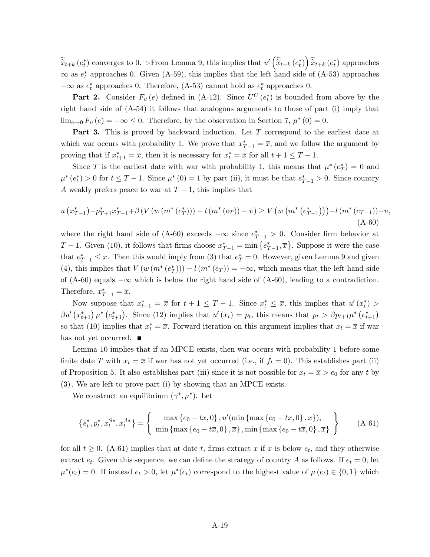$\widetilde{\tilde{x}}_{t+k}(e_t^*)$  converges to 0. >From Lemma 9, this implies that  $u'\left(\widetilde{\tilde{x}}_{t+k}(e_t^*)\right)\widetilde{\tilde{x}}_{t+k}(e_t^*)$  approaches  $\infty$  as  $e_t^*$  approaches 0. Given (A-59), this implies that the left hand side of (A-53) approaches  $-\infty$  as  $e_t^*$  approaches 0. Therefore, (A-53) cannot hold as  $e_t^*$  approaches 0.

**Part 2.** Consider  $F_v(e)$  defined in (A-12). Since  $U^C(e_t^*)$  is bounded from above by the right hand side of (A-54) it follows that analogous arguments to those of part (i) imply that  $\lim_{e\to 0} F_v(e) = -\infty \le 0$ . Therefore, by the observation in Section 7,  $\mu^*(0) = 0$ .

**Part 3.** This is proved by backward induction. Let T correspond to the earliest date at which war occurs with probability 1. We prove that  $x_{T-1}^* = \overline{x}$ , and we follow the argument by proving that if  $x_{t+1}^* = \overline{x}$ , then it is necessary for  $x_t^* = \overline{x}$  for all  $t+1 \leq T-1$ .

Since T is the earliest date with war with probability 1, this means that  $\mu^*(e_T^*) = 0$  and  $\mu^*(e_t^*) > 0$  for  $t \leq T - 1$ . Since  $\mu^*(0) = 1$  by part (ii), it must be that  $e_{T-1}^* > 0$ . Since country A weakly prefers peace to war at  $T-1$ , this implies that

$$
u(x_{T-1}^*) - p_{T+1}^* x_{T+1}^* + \beta \left( V \left( w \left( m^* \left( e_T^* \right) \right) \right) - l \left( m^* \left( e_T \right) \right) - v \right) \ge V \left( w \left( m^* \left( e_{T-1}^* \right) \right) \right) - l \left( m^* \left( e_{T-1} \right) \right) - v, \tag{A-60}
$$

where the right hand side of (A-60) exceeds  $-\infty$  since  $e_{T-1}^* > 0$ . Consider firm behavior at  $T-1$ . Given (10), it follows that firms choose  $x_{T-1}^* = \min\{e_{T-1}^*, \overline{x}\}\.$  Suppose it were the case that  $e_{T-1}^* \leq \overline{x}$ . Then this would imply from (3) that  $e_T^* = 0$ . However, given Lemma 9 and given (4), this implies that  $V(w(m^*(e_T^*))) - l(m^*(e_T)) = -\infty$ , which means that the left hand side of (A-60) equals  $-\infty$  which is below the right hand side of (A-60), leading to a contradiction. Therefore,  $x_{T-1}^* = \overline{x}$ .

Now suppose that  $x_{t+1}^* = \overline{x}$  for  $t+1 \leq T-1$ . Since  $x_t^* \leq \overline{x}$ , this implies that  $u'(x_t^*) >$  $\beta u' (x_{t+1}^*) \mu^* (e_{t+1}^*)$ . Since (12) implies that  $u'(x_t) = p_t$ , this means that  $p_t > \beta p_{t+1} \mu^* (e_{t+1}^*)$ so that (10) implies that  $x_t^* = \overline{x}$ . Forward iteration on this argument implies that  $x_t = \overline{x}$  if war has not yet occurred.  $\blacksquare$ 

Lemma 10 implies that if an MPCE exists, then war occurs with probability 1 before some finite date T with  $x_t = \overline{x}$  if war has not yet occurred (i.e., if  $f_t = 0$ ). This establishes part (ii) of Proposition 5. It also establishes part (iii) since it is not possible for  $x_t = \overline{x} > e_0$  for any t by (3): We are left to prove part (i) by showing that an MPCE exists.

We construct an equilibrium  $(\gamma^*, \mu^*)$ . Let

$$
\{e_t^*, p_t^*, x_t^{S*}, x_t^{A*}\} = \left\{\begin{array}{c} \max\left\{e_0 - t\overline{x}, 0\right\}, u'(\min\left\{\max\left\{e_0 - t\overline{x}, 0\right\}, \overline{x}\right\}),\\ \min\left\{\max\left\{e_0 - t\overline{x}, 0\right\}, \overline{x}\right\}, \min\left\{\max\left\{e_0 - t\overline{x}, 0\right\}, \overline{x}\right\} \end{array}\right\} \tag{A-61}
$$

for all  $t \geq 0$ . (A-61) implies that at date t, firms extract  $\bar{x}$  if  $\bar{x}$  is below  $e_t$ , and they otherwise extract  $e_t$ . Given this sequence, we can define the strategy of country A as follows. If  $e_t = 0$ , let  $\mu^*(e_t) = 0$ . If instead  $e_t > 0$ , let  $\mu^*(e_t)$  correspond to the highest value of  $\mu(e_t) \in \{0,1\}$  which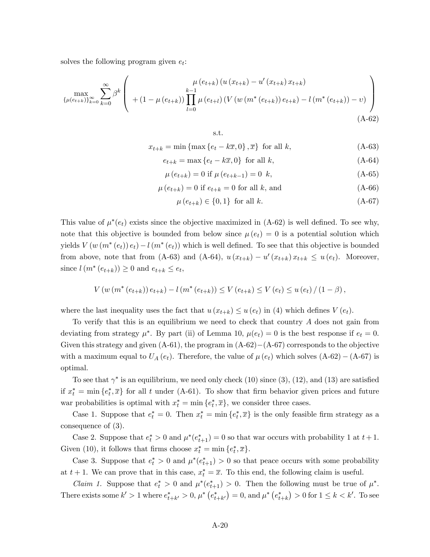solves the following program given  $e_t$ :

$$
\max_{\{\mu(e_{t+k})\}_{k=0}^{\infty}} \sum_{k=0}^{\infty} \beta^{k} \left( \begin{array}{c} \mu(e_{t+k}) \left( u(x_{t+k}) - u'(x_{t+k}) x_{t+k} \right) \\ + \left( 1 - \mu(e_{t+k}) \right) \prod_{l=0}^{k-1} \mu(e_{t+l}) \left( V \left( w \left( m^*(e_{t+k}) \right) e_{t+k} \right) - l \left( m^*(e_{t+k}) \right) - v \right) \end{array} \right) \tag{A-62}
$$

s.t.

$$
x_{t+k} = \min\left\{\max\left\{e_t - k\overline{x}, 0\right\}, \overline{x}\right\} \text{ for all } k,\tag{A-63}
$$

$$
e_{t+k} = \max\left\{e_t - k\overline{x}, 0\right\} \text{ for all } k,\tag{A-64}
$$

$$
\mu(e_{t+k}) = 0 \text{ if } \mu(e_{t+k-1}) = 0 \quad k,
$$
\n(A-65)

$$
\mu\left(e_{t+k}\right) = 0 \text{ if } e_{t+k} = 0 \text{ for all } k, \text{ and} \tag{A-66}
$$

 $\mu(e_{t+k}) \in \{0,1\}$  for all k. (A-67)

This value of  $\mu^*(e_t)$  exists since the objective maximized in (A-62) is well defined. To see why, note that this objective is bounded from below since  $\mu(e_t) = 0$  is a potential solution which yields  $V(w(m^*(e_t))e_t) - l(m^*(e_t))$  which is well defined. To see that this objective is bounded from above, note that from (A-63) and (A-64),  $u(x_{t+k}) - u'(x_{t+k}) x_{t+k} \leq u(e_t)$ . Moreover, since  $l(m^*(e_{t+k})) \ge 0$  and  $e_{t+k} \le e_t$ ,

$$
V(w (m^{*} (e_{t+k})) e_{t+k}) - l (m^{*} (e_{t+k})) \leq V(e_{t+k}) \leq V(e_{t}) \leq u(e_{t}) / (1 - \beta),
$$

where the last inequality uses the fact that  $u(x_{t+k}) \leq u(e_t)$  in (4) which defines  $V(e_t)$ .

To verify that this is an equilibrium we need to check that country A does not gain from deviating from strategy  $\mu^*$ . By part (ii) of Lemma 10,  $\mu(e_t) = 0$  is the best response if  $e_t = 0$ . Given this strategy and given  $(A-61)$ , the program in  $(A-62)-(A-67)$  corresponds to the objective with a maximum equal to  $U_A(e_t)$ . Therefore, the value of  $\mu(e_t)$  which solves  $(A-62) - (A-67)$  is optimal.

To see that  $\gamma^*$  is an equilibrium, we need only check (10) since (3), (12), and (13) are satisfied if  $x_t^* = \min\{e_t^*, \overline{x}\}\$  for all t under (A-61). To show that firm behavior given prices and future war probabilities is optimal with  $x_t^* = \min\{e_t^*, \overline{x}\}\,$ , we consider three cases.

Case 1. Suppose that  $e_t^* = 0$ . Then  $x_t^* = \min\{e_t^*, \overline{x}\}\$ is the only feasible firm strategy as a consequence of (3).

Case 2. Suppose that  $e_t^* > 0$  and  $\mu^*(e_{t+1}^*) = 0$  so that war occurs with probability 1 at  $t+1$ . Given (10), it follows that firms choose  $x_t^* = \min\{e_t^*, \overline{x}\}.$ 

Case 3. Suppose that  $e_t^* > 0$  and  $\mu^*(e_{t+1}^*) > 0$  so that peace occurs with some probability at  $t + 1$ . We can prove that in this case,  $x_t^* = \overline{x}$ . To this end, the following claim is useful.

*Claim 1.* Suppose that  $e_t^* > 0$  and  $\mu^*(e_{t+1}^*) > 0$ . Then the following must be true of  $\mu^*$ . There exists some  $k' > 1$  where  $e_{t+k'}^* > 0$ ,  $\mu^* (e_{t+k'}^*) = 0$ , and  $\mu^* (e_{t+k}^*) > 0$  for  $1 \leq k < k'$ . To see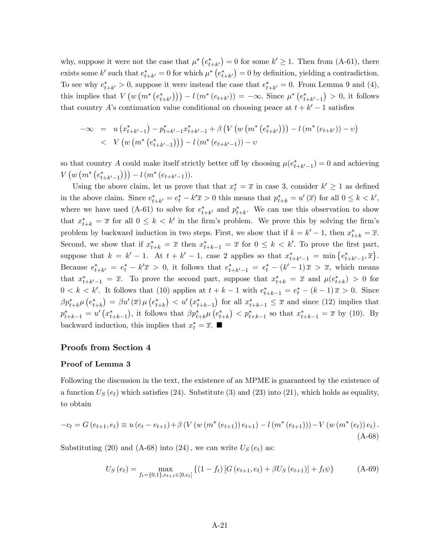why, suppose it were not the case that  $\mu^*$   $(e^*_{t+k'}) = 0$  for some  $k' \geq 1$ . Then from (A-61), there exists some k' such that  $e_{t+k'}^* = 0$  for which  $\mu^* (e_{t+k'}^*) = 0$  by definition, yielding a contradiction. To see why  $e^*_{t+k'} > 0$ , suppose it were instead the case that  $e^*_{t+k'} = 0$ . From Lemma 9 and (4), this implies that  $V(w (m^*(e_{t+k'}^*))) - l(m^*(e_{t+k'})) = -\infty$ . Since  $\mu^*(e_{t+k'-1}^*$  $0 > 0$ , it follows that country A's continuation value conditional on choosing peace at  $t + k' - 1$  satisfies

$$
-\infty = u(x_{t+k'-1}^*) - p_{t+k'-1}^* x_{t+k'-1}^* + \beta \left( V \left( w \left( m^* \left( e_{t+k'}^* \right) \right) \right) - l \left( m^* \left( e_{t+k'} \right) \right) - v \right)
$$
  
< 
$$
V \left( w \left( m^* \left( e_{t+k'-1}^* \right) \right) \right) - l \left( m^* \left( e_{t+k'-1} \right) \right) - v
$$

so that country A could make itself strictly better off by choosing  $\mu(e_{t+k'-1}^*)=0$  and achieving  $V(w (m^*(e_{t+k'-1}^*))) - l (m^*(e_{t+k'-1})).$ 

Using the above claim, let us prove that that  $x_t^* = \overline{x}$  in case 3, consider  $k' \ge 1$  as defined in the above claim. Since  $e_{t+k'}^* = e_t^* - k'\overline{x} > 0$  this means that  $p_{t+k}^* = u'(\overline{x})$  for all  $0 \le k \le k'$ , where we have used (A-61) to solve for  $e_{t+k}^*$  and  $p_{t+k}^*$ . We can use this observation to show that  $x_{t+k}^* = \overline{x}$  for all  $0 \leq k \leq k'$  in the firm's problem. We prove this by solving the firm's problem by backward induction in two steps. First, we show that if  $k = k' - 1$ , then  $x^*_{t+k} = \overline{x}$ . Second, we show that if  $x_{t+k}^* = \overline{x}$  then  $x_{t+k-1}^* = \overline{x}$  for  $0 \leq k \leq k'$ . To prove the first part, suppose that  $k = k' - 1$ . At  $t + k' - 1$ , case 2 applies so that  $x_{t+k'-1}^* = \min\{e_{t+k'-1}^*, \bar{x}\}.$ Because  $e_{t+k'}^* = e_t^* - k'\overline{x} > 0$ , it follows that  $e_{t+k'-1}^* = e_t^* - (k'-1)\overline{x} > \overline{x}$ , which means that  $x^*_{t+k'-1} = \overline{x}$ . To prove the second part, suppose that  $x^*_{t+k} = \overline{x}$  and  $\mu(e^*_{t+k}) > 0$  for  $0 < k < k'$ . It follows that (10) applies at  $t + k - 1$  with  $e^*_{t+k-1} = e^*_t - (k-1)\overline{x} > 0$ . Since  $\beta p_{t+k}^{*} \mu\left(e_{t+k}^{*}\right) = \beta u^{\prime}\left(\overline{x}\right) \mu\left(e_{t+k}^{*}\right) \, < \, u^{\prime}\left(x_{t+k-1}^{*}\right)$ ) for all  $x_{t+k-1}^* \leq \overline{x}$  and since (12) implies that  $p_{t+k-1}^* = u' (x_{t+k-1}^*$ ), it follows that  $\beta p_{t+k}^* \mu\left(e_{t+k}^*\right) < p_{t+k-1}^*$  so that  $x_{t+k-1}^* = \overline{x}$  by (10). By backward induction, this implies that  $x_t^* = \overline{x}$ .

# Proofs from Section 4

#### Proof of Lemma 3

Following the discussion in the text, the existence of an MPME is guaranteed by the existence of a function  $U_S(e_t)$  which satisfies (24). Substitute (3) and (23) into (21), which holds as equality, to obtain

$$
-c_{t} = G(e_{t+1}, e_{t}) \equiv u(e_{t} - e_{t+1}) + \beta \left( V \left( w \left( m^{*} \left( e_{t+1} \right) \right) e_{t+1} \right) - l \left( m^{*} \left( e_{t+1} \right) \right) \right) - V \left( w \left( m^{*} \left( e_{t} \right) \right) e_{t} \right).
$$
\n(A-68)

Substituting (20) and (A-68) into (24), we can write  $U_S(e_t)$  as:

$$
U_S(e_t) = \max_{f_t = \{0,1\}, e_{t+1} \in [0,e_t]} \left\{ (1 - f_t) \left[ G(e_{t+1}, e_t) + \beta U_S(e_{t+1}) \right] + f_t \psi \right\}
$$
 (A-69)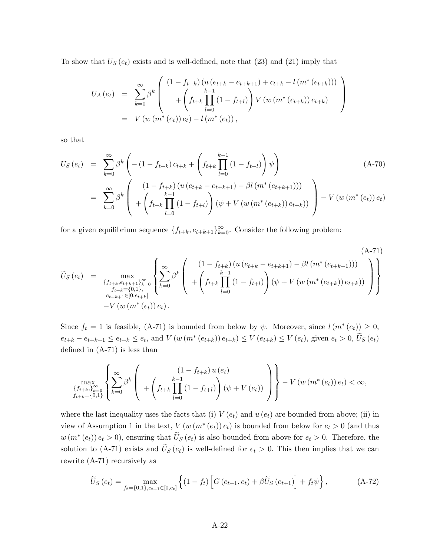To show that  $U_S(e_t)$  exists and is well-defined, note that  $(23)$  and  $(21)$  imply that

$$
U_A(e_t) = \sum_{k=0}^{\infty} \beta^k \left( \begin{array}{c} (1 - f_{t+k}) (u (e_{t+k} - e_{t+k+1}) + c_{t+k} - l (m^* (e_{t+k}))) \\ + \left( \int_{t+k}^{k-1} \prod_{l=0}^{k-1} (1 - f_{t+l}) \right) V (w (m^* (e_{t+k})) e_{t+k}) \\ = V (w (m^* (e_t)) e_t) - l (m^* (e_t)), \end{array} \right)
$$

so that

$$
U_S(e_t) = \sum_{k=0}^{\infty} \beta^k \left( -(1 - f_{t+k}) c_{t+k} + \left( f_{t+k} \prod_{l=0}^{k-1} (1 - f_{t+l}) \right) \psi \right)
$$
  

$$
= \sum_{k=0}^{\infty} \beta^k \left( \frac{(1 - f_{t+k}) (u (e_{t+k} - e_{t+k+1}) - \beta l (m^* (e_{t+k+1})))}{\left( f_{t+k} \prod_{l=0}^{k-1} (1 - f_{t+l}) \right) (\psi + V (w (m^* (e_{t+k})) e_{t+k}))} \right) - V (w (m^* (e_t)) e_t)
$$

for a given equilibrium sequence  $\{f_{t+k}, e_{t+k+1}\}_{k=0}^{\infty}$ . Consider the following problem:

$$
\widetilde{U}_{S}(e_{t}) = \max_{\substack{\{f_{t+k}, e_{t+k+1}\}_{k=0}^{\infty} \\ f_{t+k+e_{t+k+1}\in[0,e_{t+k}]}} \left\{ \sum_{k=0}^{\infty} \beta^{k} \left( \begin{array}{c} (1-f_{t+k}) \left( u\left( e_{t+k} - e_{t+k+1} \right) - \beta l \left( m^{*} \left( e_{t+k+1} \right) \right) \right) \\ + \left( \int_{t+k+e_{t+k+1}\in[0,e_{t+k}] }^{k-1} \left( 1 - f_{t+k} \right) \right) \left( \psi + V \left( w \left( m^{*} \left( e_{t+k} \right) \right) e_{t+k} \right) \right) \end{array} \right) \right\}
$$
\n
$$
-V \left( w \left( m^{*} \left( e_{t} \right) \right) e_{t} \right).
$$
\n(A-71)

Since  $f_t = 1$  is feasible, (A-71) is bounded from below by  $\psi$ . Moreover, since  $l(m^*(e_t)) \geq 0$ ,  $e_{t+k} - e_{t+k+1} \le e_{t+k} \le e_t$ , and  $V(w(m^*(e_{t+k})) e_{t+k}) \le V(e_{t+k}) \le V(e_t)$ , given  $e_t > 0$ ,  $U_S(e_t)$ defined in  $(A-71)$  is less than

$$
\max_{\{f_{t+k},\}_{k=0}^{\infty} \atop f_{t+k} = \{0,1\}} \left\{ \sum_{k=0}^{\infty} \beta^k \left( \begin{array}{c} (1 - f_{t+k}) u(e_t) \\ + \left( f_{t+k} \prod_{l=0}^{k-1} (1 - f_{t+l}) \right) (\psi + V(e_t)) \end{array} \right) \right\} - V(w(m^*(e_t)) e_t) < \infty,
$$

where the last inequality uses the facts that (i)  $V(e_t)$  and  $u(e_t)$  are bounded from above; (ii) in view of Assumption 1 in the text,  $V(w(m^*(e_t)) e_t)$  is bounded from below for  $e_t > 0$  (and thus  $w(m^*(e_t)) e_t > 0$ , ensuring that  $U_S(e_t)$  is also bounded from above for  $e_t > 0$ . Therefore, the solution to (A-71) exists and  $\tilde{U}_S(e_t)$  is well-defined for  $e_t > 0$ . This then implies that we can rewrite (A-71) recursively as

$$
\widetilde{U}_{S}(e_{t}) = \max_{f_{t}=\{0,1\}, e_{t+1}\in[0,e_{t}]}\left\{(1-f_{t})\left[G\left(e_{t+1}, e_{t}\right)+\beta\widetilde{U}_{S}\left(e_{t+1}\right)\right]+f_{t}\psi\right\},\tag{A-72}
$$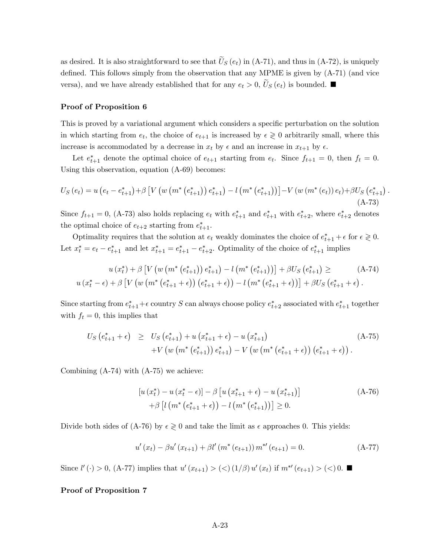as desired. It is also straightforward to see that  $U_S(e_t)$  in (A-71), and thus in (A-72), is uniquely defined. This follows simply from the observation that any MPME is given by  $(A-71)$  (and vice versa), and we have already established that for any  $e_t > 0$ ,  $U_S(e_t)$  is bounded.

#### Proof of Proposition 6

This is proved by a variational argument which considers a specific perturbation on the solution in which starting from  $e_t$ , the choice of  $e_{t+1}$  is increased by  $\epsilon \geq 0$  arbitrarily small, where this increase is accommodated by a decrease in  $x_t$  by  $\epsilon$  and an increase in  $x_{t+1}$  by  $\epsilon$ .

Let  $e_{t+1}^*$  denote the optimal choice of  $e_{t+1}$  starting from  $e_t$ . Since  $f_{t+1} = 0$ , then  $f_t = 0$ . Using this observation, equation (A-69) becomes:

$$
U_{S}(e_{t}) = u\left(e_{t} - e_{t+1}^{*}\right) + \beta \left[V\left(w\left(m^{*}\left(e_{t+1}^{*}\right)\right)e_{t+1}^{*}\right) - l\left(m^{*}\left(e_{t+1}^{*}\right)\right)\right] - V\left(w\left(m^{*}\left(e_{t}\right)\right)e_{t}\right) + \beta U_{S}\left(e_{t+1}^{*}\right)\right) \tag{A-73}
$$

.

Since  $f_{t+1} = 0$ , (A-73) also holds replacing  $e_t$  with  $e_{t+1}^*$  and  $e_{t+1}^*$  with  $e_{t+2}^*$ , where  $e_{t+2}^*$  denotes the optimal choice of  $e_{t+2}$  starting from  $e_{t+1}^*$ .

Optimality requires that the solution at  $e_t$  weakly dominates the choice of  $e_{t+1}^* + \epsilon$  for  $\epsilon \geq 0$ . Let  $x_t^* = e_t - e_{t+1}^*$  and let  $x_{t+1}^* = e_{t+1}^* - e_{t+2}^*$ . Optimality of the choice of  $e_{t+1}^*$  implies

$$
u(x_t^*) + \beta \left[ V \left( w \left( m^* \left( e_{t+1}^* \right) \right) e_{t+1}^* \right) - l \left( m^* \left( e_{t+1}^* \right) \right) \right] + \beta U_S \left( e_{t+1}^* \right) \ge (A-74)
$$
  

$$
u(x_t^* - \epsilon) + \beta \left[ V \left( w \left( m^* \left( e_{t+1}^* + \epsilon \right) \right) \left( e_{t+1}^* + \epsilon \right) \right) - l \left( m^* \left( e_{t+1}^* + \epsilon \right) \right) \right] + \beta U_S \left( e_{t+1}^* + \epsilon \right).
$$

Since starting from  $e_{t+1}^* + \epsilon$  country S can always choose policy  $e_{t+2}^*$  associated with  $e_{t+1}^*$  together with  $f_t = 0$ , this implies that

$$
U_S(e_{t+1}^* + \epsilon) \geq U_S(e_{t+1}^*) + u(x_{t+1}^* + \epsilon) - u(x_{t+1}^*)
$$
  
+ 
$$
V(w(m^*(e_{t+1}^*)) e_{t+1}^*) - V(w(m^*(e_{t+1}^* + \epsilon)) (e_{t+1}^* + \epsilon)).
$$
 (A-75)

Combining (A-74) with (A-75) we achieve:

$$
[u(x_t^*) - u(x_t^* - \epsilon)] - \beta [u(x_{t+1}^* + \epsilon) - u(x_{t+1}^*)]
$$
  
+  $\beta [l(m^*(e_{t+1}^* + \epsilon)) - l(m^*(e_{t+1}^*))] \ge 0.$  (A-76)

Divide both sides of (A-76) by  $\epsilon \geq 0$  and take the limit as  $\epsilon$  approaches 0. This yields:

$$
u'(x_t) - \beta u'(x_{t+1}) + \beta l'(m^*(e_{t+1})) m^{*}(e_{t+1}) = 0.
$$
 (A-77)

Since  $l'(\cdot) > 0$ , (A-77) implies that  $u'(x_{t+1}) > (<) (1/\beta) u'(x_t)$  if  $m^{*'}(e_{t+1}) > (<) 0$ .

## Proof of Proposition 7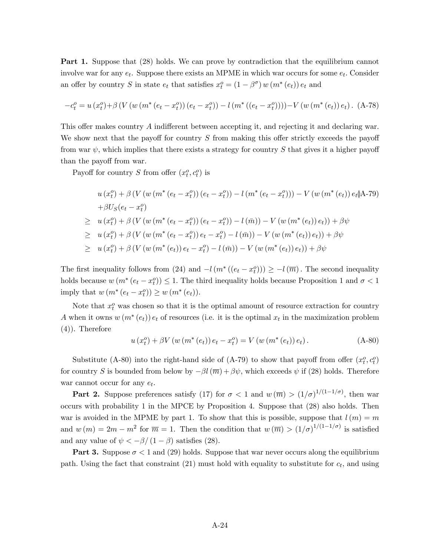Part 1. Suppose that (28) holds. We can prove by contradiction that the equilibrium cannot involve war for any  $e_t$ . Suppose there exists an MPME in which war occurs for some  $e_t$ . Consider an offer by country S in state  $e_t$  that satisfies  $x_t^o = (1 - \beta^{\sigma}) w (m^*(e_t)) e_t$  and

$$
-c_t^o = u(x_t^o) + \beta \left( V \left( w \left( m^*(e_t - x_t^o) \right) \left( e_t - x_t^o \right) \right) - l \left( m^* \left( \left( e_t - x_t^o \right) \right) \right) \right) - V \left( w \left( m^*(e_t) \right) e_t \right). \tag{A-78}
$$

This offer makes country  $A$  indifferent between accepting it, and rejecting it and declaring war. We show next that the payoff for country  $S$  from making this offer strictly exceeds the payoff from war  $\psi$ , which implies that there exists a strategy for country S that gives it a higher payoff than the payoff from war.

Payoff for country S from offer  $(x_t^o, c_t^o)$  is

$$
u(x_t^0) + \beta \left( V \left( w \left( m^*(e_t - x_t^0) \right) (e_t - x_t^0) \right) - l \left( m^*(e_t - x_t^0) \right) \right) - V \left( w \left( m^*(e_t) \right) e_t \right) A - 79 \right)
$$
  
+
$$
\beta U_S(e_t - x_t^0)
$$
  

$$
\geq u(x_t^0) + \beta \left( V \left( w \left( m^*(e_t - x_t^0) \right) (e_t - x_t^0) \right) - l \left( \bar{m} \right) \right) - V \left( w \left( m^*(e_t) \right) e_t \right) + \beta \psi
$$
  

$$
\geq u(x_t^0) + \beta \left( V \left( w \left( m^*(e_t - x_t^0) \right) e_t - x_t^0 \right) - l \left( \bar{m} \right) \right) - V \left( w \left( m^*(e_t) \right) e_t \right) + \beta \psi
$$
  

$$
\geq u(x_t^0) + \beta \left( V \left( w \left( m^*(e_t) \right) e_t - x_t^0 \right) - l \left( \bar{m} \right) \right) - V \left( w \left( m^*(e_t) \right) e_t \right) + \beta \psi
$$

The first inequality follows from (24) and  $-l(m^*((e_t - x_t^o))) \ge -l(\overline{m})$ . The second inequality holds because  $w(m^*(e_t - x_t^o)) \leq 1$ . The third inequality holds because Proposition 1 and  $\sigma < 1$ imply that  $w(m^*(e_t - x_t^o)) \ge w(m^*(e_t)).$ 

Note that  $x_t^o$  was chosen so that it is the optimal amount of resource extraction for country A when it owns  $w(m^*(e_t)) e_t$  of resources (i.e. it is the optimal  $x_t$  in the maximization problem (4)). Therefore

$$
u(x_t^o) + \beta V(w(m^*(e_t)) e_t - x_t^o) = V(w(m^*(e_t)) e_t).
$$
 (A-80)

Substitute (A-80) into the right-hand side of (A-79) to show that payoff from offer  $(x_t^o, c_t^o)$ for country S is bounded from below by  $-\beta l(\overline{m}) + \beta \psi$ , which exceeds  $\psi$  if (28) holds. Therefore war cannot occur for any  $e_t$ .

**Part 2.** Suppose preferences satisfy (17) for  $\sigma < 1$  and  $w(\overline{m}) > (1/\sigma)^{1/(1-1/\sigma)}$ , then war occurs with probability 1 in the MPCE by Proposition 4. Suppose that (28) also holds. Then war is avoided in the MPME by part 1. To show that this is possible, suppose that  $l(m) = m$ and  $w(m) = 2m - m^2$  for  $\overline{m} = 1$ . Then the condition that  $w(\overline{m}) > (1/\sigma)^{1/(1-1/\sigma)}$  is satisfied and any value of  $\psi < -\beta/(1-\beta)$  satisfies (28).

**Part 3.** Suppose  $\sigma < 1$  and (29) holds. Suppose that war never occurs along the equilibrium path. Using the fact that constraint  $(21)$  must hold with equality to substitute for  $c_t$ , and using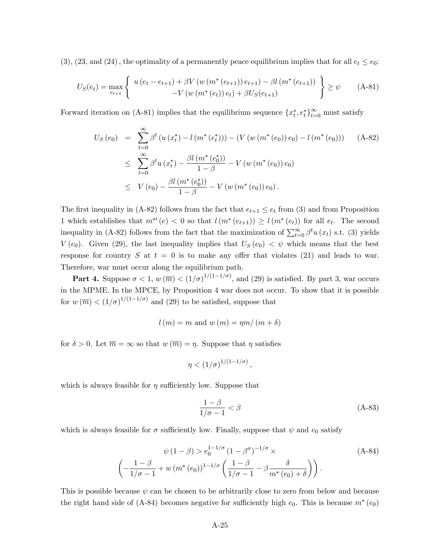(3), (23, and (24), the optimality of a permanently peace equilibrium implies that for all  $e_t \le e_0$ :

$$
U_{S}(e_{t}) = \max_{e_{t+1}} \left\{ u(e_{t} - e_{t+1}) + \beta V(w(m^{*}(e_{t+1})) e_{t+1}) - \beta l(m^{*}(e_{t+1})) \atop -V(w(m^{*}(e_{t})) e_{t}) + \beta U_{S}(e_{t+1}) \right\} \geq \psi \qquad (A-81)
$$

Forward iteration on (A-81) implies that the equilibrium sequence  $\{x_t^*, e_t^*\}_{t=0}^{\infty}$  must satisfy

$$
U_S(e_0) = \sum_{t=0}^{\infty} \beta^t (u(x_t^*) - l(m^*(e_t^*))) - (V(w(m^*(e_0))e_0) - l(m^*(e_0))) \quad \text{(A-82)}
$$
  

$$
\leq \sum_{t=0}^{\infty} \beta^t u(x_t^*) - \frac{\beta l(m^*(e_0^*))}{1-\beta} - V(w(m^*(e_0))e_0)
$$
  

$$
\leq V(e_0) - \frac{\beta l(m^*(e_0^*))}{1-\beta} - V(w(m^*(e_0))e_0).
$$

The first inequality in (A-82) follows from the fact that  $e_{t+1} \leq e_t$  from (3) and from Proposition 1 which establishes that  $m^{*'}(e) < 0$  so that  $l(m^{*}(e_{t+1})) \ge l(m^{*}(e_t))$  for all  $e_t$ . The second inequality in (A-82) follows from the fact that the maximization of  $\sum_{t=0}^{\infty} \beta^t u(x_t)$  s.t. (3) yields  $V(e_0)$ . Given (29), the last inequality implies that  $U_S(e_0) < \psi$  which means that the best response for country S at  $t = 0$  is to make any offer that violates (21) and leads to war. Therefore, war must occur along the equilibrium path.

**Part 4.** Suppose  $\sigma < 1$ ,  $w(\overline{m}) < (1/\sigma)^{1/(1-1/\sigma)}$ , and (29) is satisfied. By part 3, war occurs in the MPME. In the MPCE, by Proposition 4 war does not occur. To show that it is possible for  $w(\overline{m}) < (1/\sigma)^{1/(1-1/\sigma)}$  and (29) to be satisfied, suppose that

$$
l(m) = m
$$
 and  $w(m) = \eta m/(m+\delta)$ 

for  $\delta > 0$ . Let  $\overline{m} = \infty$  so that  $w(\overline{m}) = \eta$ . Suppose that  $\eta$  satisfies

$$
\eta < (1/\sigma)^{1/(1-1/\sigma)},
$$

which is always feasible for  $\eta$  sufficiently low. Suppose that

$$
\frac{1-\beta}{1/\sigma - 1} < \beta \tag{A-83}
$$

which is always feasible for  $\sigma$  sufficiently low. Finally, suppose that  $\psi$  and  $e_0$  satisfy

$$
\psi(1-\beta) > e_0^{1-1/\sigma} (1-\beta^{\sigma})^{-1/\sigma} \times
$$
\n
$$
\left(-\frac{1-\beta}{1/\sigma-1} + w(m^*(e_0))^{1-1/\sigma} \left(\frac{1-\beta}{1/\sigma-1} - \beta \frac{\delta}{m^*(e_0) + \delta}\right)\right).
$$
\n(A-84)

This is possible because  $\psi$  can be chosen to be arbitrarily close to zero from below and because the right hand side of (A-84) becomes negative for sufficiently high  $e_0$ . This is because  $m^*(e_0)$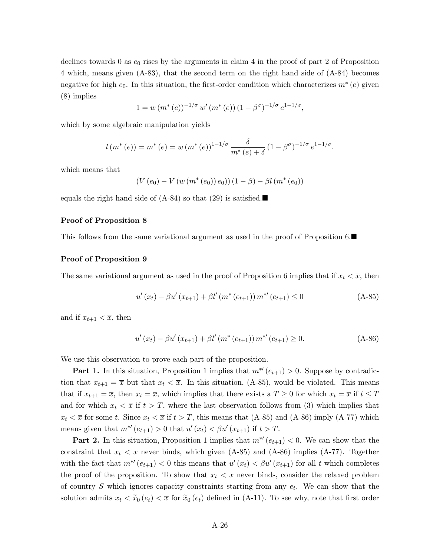declines towards 0 as  $e_0$  rises by the arguments in claim 4 in the proof of part 2 of Proposition 4 which, means given (A-83), that the second term on the right hand side of (A-84) becomes negative for high  $e_0$ . In this situation, the first-order condition which characterizes  $m^*(e)$  given (8) implies

$$
1 = w (m^* (e))^{-1/\sigma} w' (m^* (e)) (1 - \beta^{\sigma})^{-1/\sigma} e^{1 - 1/\sigma},
$$

which by some algebraic manipulation yields

$$
l(m^{*}(e)) = m^{*}(e) = w(m^{*}(e))^{1-1/\sigma} \frac{\delta}{m^{*}(e) + \delta} (1 - \beta^{\sigma})^{-1/\sigma} e^{1-1/\sigma}.
$$

which means that

$$
(V(e_0) - V(w(m^*(e_0)) e_0)) (1 - \beta) - \beta l(m^*(e_0))
$$

equals the right hand side of  $(A-84)$  so that  $(29)$  is satisfied.

#### Proof of Proposition 8

This follows from the same variational argument as used in the proof of Proposition 6.

## Proof of Proposition 9

The same variational argument as used in the proof of Proposition 6 implies that if  $x_t < \overline{x}$ , then

$$
u'(x_t) - \beta u'(x_{t+1}) + \beta l'(m^*(e_{t+1})) m^{*}(e_{t+1}) \le 0
$$
\n(A-85)

and if  $x_{t+1} < \overline{x}$ , then

$$
u'(x_t) - \beta u'(x_{t+1}) + \beta l'(m^*(e_{t+1})) m^{*}(e_{t+1}) \ge 0.
$$
 (A-86)

We use this observation to prove each part of the proposition.

**Part 1.** In this situation, Proposition 1 implies that  $m^{*'}(e_{t+1}) > 0$ . Suppose by contradiction that  $x_{t+1} = \overline{x}$  but that  $x_t < \overline{x}$ . In this situation, (A-85), would be violated. This means that if  $x_{t+1} = \overline{x}$ , then  $x_t = \overline{x}$ , which implies that there exists a  $T \geq 0$  for which  $x_t = \overline{x}$  if  $t \leq T$ and for which  $x_t < \overline{x}$  if  $t > T$ , where the last observation follows from (3) which implies that  $x_t < \overline{x}$  for some t. Since  $x_t < \overline{x}$  if  $t > T$ , this means that (A-85) and (A-86) imply (A-77) which means given that  $m^{*'}(e_{t+1}) > 0$  that  $u'(x_t) < \beta u'(x_{t+1})$  if  $t > T$ .

**Part 2.** In this situation, Proposition 1 implies that  $m^{*'}(e_{t+1}) < 0$ . We can show that the constraint that  $x_t < \overline{x}$  never binds, which given (A-85) and (A-86) implies (A-77). Together with the fact that  $m^{*'}(e_{t+1}) < 0$  this means that  $u'(x_t) < \beta u'(x_{t+1})$  for all t which completes the proof of the proposition. To show that  $x_t < \overline{x}$  never binds, consider the relaxed problem of country  $S$  which ignores capacity constraints starting from any  $e_t$ . We can show that the solution admits  $x_t < \tilde{x}_0(e_t) < \overline{x}$  for  $\tilde{x}_0(e_t)$  defined in (A-11). To see why, note that first order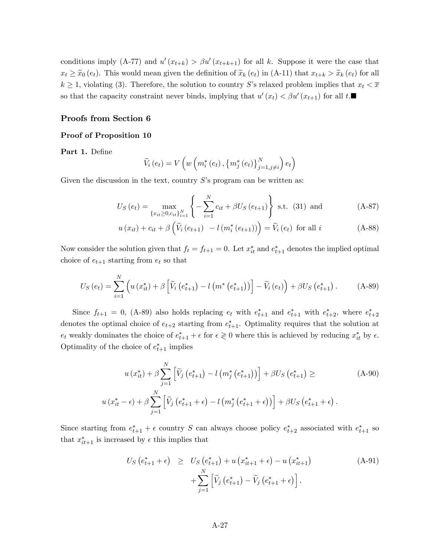conditions imply (A-77) and  $u'(x_{t+k}) > \beta u'(x_{t+k+1})$  for all k. Suppose it were the case that  $x_t \geq \tilde{x}_0 (e_t)$ . This would mean given the definition of  $\tilde{x}_k (e_t)$  in (A-11) that  $x_{t+k} > \tilde{x}_k (e_t)$  for all  $k \geq 1$ , violating (3). Therefore, the solution to country S's relaxed problem implies that  $x_t < \overline{x}$ so that the capacity constraint never binds, implying that  $u'(x_t) < \beta u'(x_{t+1})$  for all  $t$ .

#### Proofs from Section 6

## Proof of Proposition 10

Part 1. Define

$$
\widetilde{V}_{i}\left(e_{t}\right)=V\left(w\left(m_{i}^{*}\left(e_{t}\right),\left\{ m_{j}^{*}\left(e_{t}\right)\right\} _{j=1,j\neq i}^{N}\right)e_{t}\right)
$$

Given the discussion in the text, country  $S$ 's program can be written as:

$$
U_S(e_t) = \max_{\{x_{it} \ge 0, c_{it}\}_{i=1}^N} \left\{-\sum_{i=1}^N c_{it} + \beta U_S(e_{t+1})\right\} \text{ s.t. (31) and } (A-87)
$$

$$
u(x_{it}) + c_{it} + \beta \left(\widetilde{V}_i(e_{t+1}) - l(m_i^*(e_{t+1}))\right) = \widetilde{V}_i(e_t) \text{ for all } i
$$
 (A-88)

Now consider the solution given that  $f_t = f_{t+1} = 0$ . Let  $x_{it}^*$  and  $e_{t+1}^*$  denotes the implied optimal choice of  $e_{t+1}$  starting from  $e_t$  so that

$$
U_{S}(e_{t}) = \sum_{i=1}^{N} \left( u(x_{it}^{*}) + \beta \left[ \widetilde{V}_{i}(e_{t+1}^{*}) - l\left(m^{*}(e_{t+1}^{*})\right) \right] - \widetilde{V}_{i}(e_{t}) \right) + \beta U_{S}(e_{t+1}^{*}). \tag{A-89}
$$

Since  $f_{t+1} = 0$ , (A-89) also holds replacing  $e_t$  with  $e_{t+1}^*$  and  $e_{t+1}^*$  with  $e_{t+2}^*$ , where  $e_{t+2}^*$ denotes the optimal choice of  $e_{t+2}$  starting from  $e_{t+1}^*$ . Optimality requires that the solution at  $e_t$  weakly dominates the choice of  $e_{t+1}^* + \epsilon$  for  $\epsilon \geq 0$  where this is achieved by reducing  $x_{it}^*$  by  $\epsilon$ . Optimality of the choice of  $e_{t+1}^*$  implies

$$
u(x_{it}^*) + \beta \sum_{j=1}^N \left[ \tilde{V}_j(e_{t+1}^*) - l(m_j^*(e_{t+1}^*)) \right] + \beta U_S(e_{t+1}^*) \ge (A-90)
$$
  

$$
u(x_{it}^* - \epsilon) + \beta \sum_{j=1}^N \left[ \tilde{V}_j(e_{t+1}^* + \epsilon) - l(m_j^*(e_{t+1}^* + \epsilon)) \right] + \beta U_S(e_{t+1}^* + \epsilon).
$$

Since starting from  $e_{t+1}^* + \epsilon$  country S can always choose policy  $e_{t+2}^*$  associated with  $e_{t+1}^*$  so that  $x_{it+1}^*$  is increased by  $\epsilon$  this implies that

$$
U_S\left(e_{t+1}^* + \epsilon\right) \geq U_S\left(e_{t+1}^*\right) + u\left(x_{it+1}^* + \epsilon\right) - u\left(x_{it+1}^*\right) + \sum_{j=1}^N \left[\widetilde{V}_j\left(e_{t+1}^*\right) - \widetilde{V}_j\left(e_{t+1}^* + \epsilon\right)\right].
$$
\n(A-91)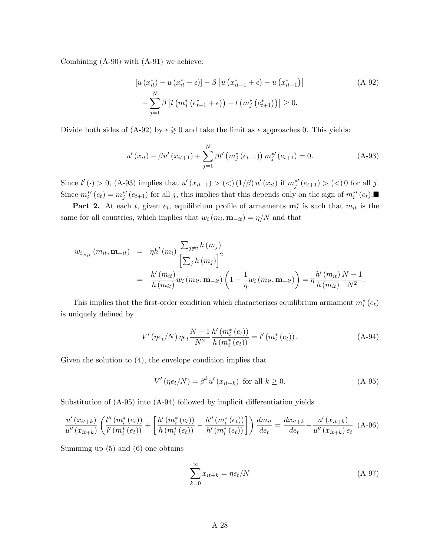Combining (A-90) with (A-91) we achieve:

$$
[u(x_{it}^{*}) - u(x_{it}^{*} - \epsilon)] - \beta [u(x_{it+1}^{*} + \epsilon) - u(x_{it+1}^{*})]
$$
  
+ 
$$
\sum_{j=1}^{N} \beta [l(m_{j}^{*}(e_{t+1}^{*} + \epsilon)) - l(m_{j}^{*}(e_{t+1}^{*}))] \geq 0.
$$
 (A-92)

Divide both sides of (A-92) by  $\epsilon \geq 0$  and take the limit as  $\epsilon$  approaches 0. This yields:

$$
u'(x_{it}) - \beta u'(x_{it+1}) + \sum_{j=1}^{N} \beta l'(m_j^*(e_{t+1})) m_j^{*'}(e_{t+1}) = 0.
$$
 (A-93)

Since  $l'(\cdot) > 0$ , (A-93) implies that  $u'(x_{it+1}) > (\langle (1/\beta) u'(x_{it}) \text{ if } m_j^{*'}(e_{t+1}) > (\langle) 0 \text{ for all } j$ . Since  $m_i^{*'}(e_t) = m_j^{*'}(e_{t+1})$  for all j, this implies that this depends only on the sign of  $m_i^{*'}(e_t)$ .

**Part 2.** At each t, given  $e_t$ , equilibrium profile of armaments  $\mathbf{m}_t^*$  is such that  $m_{it}$  is the same for all countries, which implies that  $w_i(m_i, \mathbf{m}_{-it}) = \eta/N$  and that

$$
w_{i_{m_{it}}} (m_{it}, \mathbf{m}_{-it}) = \eta h' (m_i) \frac{\sum_{j \neq i} h (m_j)}{\left[\sum_j h (m_j)\right]^2} = \frac{h' (m_{it})}{h (m_{it})} w_i (m_{it}, \mathbf{m}_{-it}) \left(1 - \frac{1}{\eta} w_i (m_{it}, \mathbf{m}_{-it})\right) = \eta \frac{h' (m_{it})}{h (m_{it})} \frac{N - 1}{N^2}.
$$

This implies that the first-order condition which characterizes equilibrium armament  $m_i^*(e_t)$ is uniquely defined by

$$
V'(\eta e_t/N)\,\eta e_t \frac{N-1}{N^2} \frac{h'\,(m_i^*(e_t))}{h\,(m_i^*(e_t))} = l'\,(m_i^*(e_t))\,.
$$
 (A-94)

Given the solution to (4), the envelope condition implies that

$$
V'(ne_t/N) = \beta^k u'(x_{it+k}) \text{ for all } k \ge 0.
$$
 (A-95)

Substitution of  $(A-95)$  into  $(A-94)$  followed by implicit differentiation yields

$$
\frac{u'(x_{it+k})}{u''(x_{it+k})} \left( \frac{l''(m_i^*(e_t))}{l'(m_i^*(e_t))} + \left[ \frac{h'(m_i^*(e_t))}{h(m_i^*(e_t))} - \frac{h''(m_i^*(e_t))}{h'(m_i^*(e_t))} \right] \right) \frac{dm_{it}}{de_t} = \frac{dx_{it+k}}{de_t} + \frac{u'(x_{it+k})}{u''(x_{it+k})e_t} \tag{A-96}
$$

Summing up (5) and (6) one obtains

$$
\sum_{k=0}^{\infty} x_{it+k} = \eta e_t / N \tag{A-97}
$$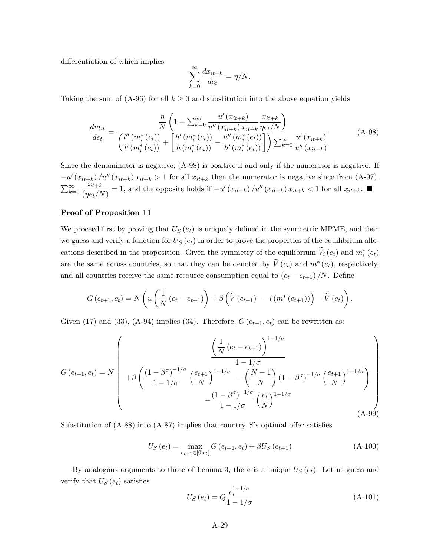differentiation of which implies

$$
\sum_{k=0}^{\infty} \frac{dx_{it+k}}{de_t} = \eta/N.
$$

Taking the sum of (A-96) for all  $k \geq 0$  and substitution into the above equation yields

$$
\frac{dm_{it}}{det} = \frac{\frac{\eta}{N} \left( 1 + \sum_{k=0}^{\infty} \frac{u'(x_{it+k})}{u''(x_{it+k}) x_{it+k}} \frac{x_{it+k}}{\eta e_t/N} \right)}{\left( \frac{l''(m_i^*(e_t))}{l'(m_i^*(e_t))} + \left[ \frac{h'(m_i^*(e_t))}{h(m_i^*(e_t))} - \frac{h''(m_i^*(e_t))}{h'(m_i^*(e_t))} \right] \right) \sum_{k=0}^{\infty} \frac{u'(x_{it+k})}{u''(x_{it+k})}
$$
(A-98)

Since the denominator is negative, (A-98) is positive if and only if the numerator is negative. If  $-u'(x_{it+k})/u''(x_{it+k}) x_{it+k} > 1$  for all  $x_{it+k}$  then the numerator is negative since from (A-97),  $\sum_{k=0}^{\infty}$  $x_{t+k}$  $\frac{w_{t+k}}{(n_{et}/N)} = 1$ , and the opposite holds if  $-u'(x_{it+k})/u''(x_{it+k}) x_{it+k} < 1$  for all  $x_{it+k}$ .

## Proof of Proposition 11

We proceed first by proving that  $U_s(e_t)$  is uniquely defined in the symmetric MPME, and then we guess and verify a function for  $U_s(e_t)$  in order to prove the properties of the equilibrium allocations described in the proposition. Given the symmetry of the equilibrium  $V_i(e_t)$  and  $m_i^*(e_t)$ are the same across countries, so that they can be denoted by  $V(e_t)$  and  $m^*(e_t)$ , respectively, and all countries receive the same resource consumption equal to  $(e_t - e_{t+1})/N$ . Define

$$
G\left(e_{t+1}, e_t\right) = N\left(u\left(\frac{1}{N}\left(e_t - e_{t+1}\right)\right) + \beta\left(\widetilde{V}\left(e_{t+1}\right) - l\left(m^*\left(e_{t+1}\right)\right)\right) - \widetilde{V}\left(e_t\right)\right).
$$

Given (17) and (33), (A-94) implies (34). Therefore,  $G(e_{t+1}, e_t)$  can be rewritten as:

$$
G(e_{t+1}, e_t) = N \left( +\beta \left( \frac{(1-\beta^{\sigma})^{-1/\sigma}}{1-1/\sigma} \left( \frac{e_{t+1}}{N} \right)^{1-1/\sigma} - \left( \frac{N-1}{N} \right) (1-\beta^{\sigma})^{-1/\sigma} \left( \frac{e_{t+1}}{N} \right)^{1-1/\sigma} \right) - \frac{(1-\beta^{\sigma})^{-1/\sigma}}{1-1/\sigma} \left( \frac{e_t}{N} \right)^{1-1/\sigma} \left( \frac{e_t}{N} \right)^{1-1/\sigma} \right)
$$
\n(A-99)

Substitution of  $(A-88)$  into  $(A-87)$  implies that country S's optimal offer satisfies

$$
U_S(e_t) = \max_{e_{t+1} \in [0, e_t]} G(e_{t+1}, e_t) + \beta U_S(e_{t+1})
$$
\n(A-100)

By analogous arguments to those of Lemma 3, there is a unique  $U_S(e_t)$ . Let us guess and verify that  $U_S(e_t)$  satisfies

$$
U_S(e_t) = Q \frac{e_t^{1-1/\sigma}}{1-1/\sigma}
$$
 (A-101)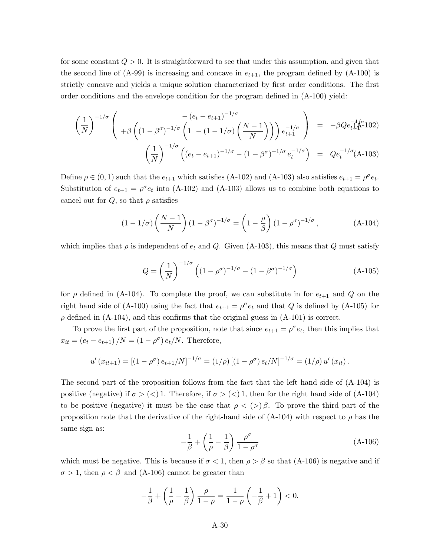for some constant  $Q > 0$ . It is straightforward to see that under this assumption, and given that the second line of  $(A-99)$  is increasing and concave in  $e_{t+1}$ , the program defined by  $(A-100)$  is strictly concave and yields a unique solution characterized by first order conditions. The first order conditions and the envelope condition for the program defined in  $(A-100)$  yield:

$$
\left(\frac{1}{N}\right)^{-1/\sigma} \left( \begin{array}{c} -(e_t - e_{t+1})^{-1/\sigma} \\ + \beta \left( (1 - \beta^{\sigma})^{-1/\sigma} \left( 1 - (1 - 1/\sigma) \left( \frac{N-1}{N} \right) \right) \right) e_{t+1}^{-1/\sigma} \end{array} \right) = -\beta Q e_{t+1}^{-1/\sigma} 102)
$$
\n
$$
\left(\frac{1}{N}\right)^{-1/\sigma} \left( (e_t - e_{t+1})^{-1/\sigma} - (1 - \beta^{\sigma})^{-1/\sigma} e_t^{-1/\sigma} \right) = Q e_t^{-1/\sigma} (A-103)
$$

Define  $\rho \in (0,1)$  such that the  $e_{t+1}$  which satisfies (A-102) and (A-103) also satisfies  $e_{t+1} = \rho^{\sigma} e_t$ . Substitution of  $e_{t+1} = \rho^{\sigma} e_t$  into (A-102) and (A-103) allows us to combine both equations to cancel out for  $Q$ , so that  $\rho$  satisfies

$$
(1 - 1/\sigma) \left(\frac{N-1}{N}\right) (1 - \beta^{\sigma})^{-1/\sigma} = \left(1 - \frac{\rho}{\beta}\right) (1 - \rho^{\sigma})^{-1/\sigma},\tag{A-104}
$$

which implies that  $\rho$  is independent of  $e_t$  and Q. Given (A-103), this means that Q must satisfy

$$
Q = \left(\frac{1}{N}\right)^{-1/\sigma} \left( \left(1 - \rho^{\sigma}\right)^{-1/\sigma} - \left(1 - \beta^{\sigma}\right)^{-1/\sigma} \right) \tag{A-105}
$$

for  $\rho$  defined in (A-104). To complete the proof, we can substitute in for  $e_{t+1}$  and Q on the right hand side of (A-100) using the fact that  $e_{t+1} = \rho^{\sigma} e_t$  and that Q is defined by (A-105) for  $\rho$  defined in (A-104), and this confirms that the original guess in (A-101) is correct.

To prove the first part of the proposition, note that since  $e_{t+1} = \rho^{\sigma} e_t$ , then this implies that  $x_{it} = (e_t - e_{t+1})/N = (1 - \rho^{\sigma}) e_t/N$ . Therefore,

$$
u'(x_{it+1}) = [(1 - \rho^{\sigma}) e_{t+1}/N]^{-1/\sigma} = (1/\rho) [(1 - \rho^{\sigma}) e_t/N]^{-1/\sigma} = (1/\rho) u'(x_{it}).
$$

The second part of the proposition follows from the fact that the left hand side of (A-104) is positive (negative) if  $\sigma > \langle \langle \rangle$  1. Therefore, if  $\sigma > \langle \langle \rangle$  1, then for the right hand side of (A-104) to be positive (negative) it must be the case that  $\rho < (>)\beta$ . To prove the third part of the proposition note that the derivative of the right-hand side of  $(A-104)$  with respect to  $\rho$  has the same sign as:

$$
-\frac{1}{\beta} + \left(\frac{1}{\rho} - \frac{1}{\beta}\right) \frac{\rho^{\sigma}}{1 - \rho^{\sigma}}
$$
 (A-106)

which must be negative. This is because if  $\sigma < 1$ , then  $\rho > \beta$  so that (A-106) is negative and if  $\sigma > 1$ , then  $\rho < \beta$  and (A-106) cannot be greater than

$$
-\frac{1}{\beta} + \left(\frac{1}{\rho} - \frac{1}{\beta}\right) \frac{\rho}{1-\rho} = \frac{1}{1-\rho} \left(-\frac{1}{\beta} + 1\right) < 0.
$$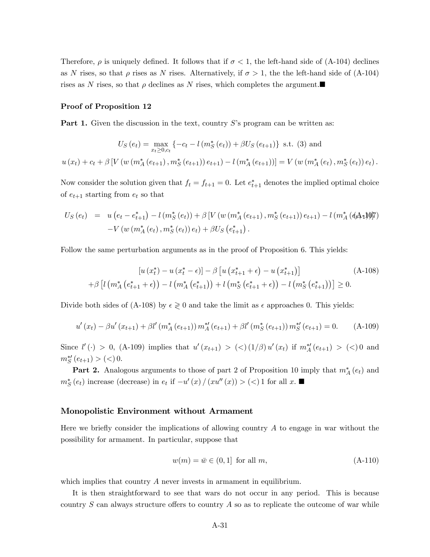Therefore,  $\rho$  is uniquely defined. It follows that if  $\sigma < 1$ , the left-hand side of (A-104) declines as N rises, so that  $\rho$  rises as N rises. Alternatively, if  $\sigma > 1$ , the the left-hand side of (A-104) rises as N rises, so that  $\rho$  declines as N rises, which completes the argument.

#### Proof of Proposition 12

**Part 1.** Given the discussion in the text, country  $S$ 's program can be written as:

$$
U_{S}(e_{t}) = \max_{x_{t} \geq 0, c_{t}} \{-c_{t} - l \left( m_{S}^{*}(e_{t}) \right) + \beta U_{S}(e_{t+1}) \} \text{ s.t. (3) and}
$$

$$
u(x_{t}) + c_{t} + \beta \left[ V \left( w \left( m_{A}^{*}(e_{t+1}), m_{S}^{*}(e_{t+1}) \right) e_{t+1} \right) - l \left( m_{A}^{*}(e_{t+1}) \right) \right] = V \left( w \left( m_{A}^{*}(e_{t}), m_{S}^{*}(e_{t}) \right) e_{t} \right).
$$

Now consider the solution given that  $f_t = f_{t+1} = 0$ . Let  $e_{t+1}^*$  denotes the implied optimal choice of  $e_{t+1}$  starting from  $e_t$  so that

$$
U_S(e_t) = u(e_t - e_{t+1}^*) - l(m_S^*(e_t)) + \beta [V(w(m_A^*(e_{t+1}), m_S^*(e_{t+1}))e_{t+1}) - l(m_A^*(\mathbf{A}A)\mathbf{Y}) - V(w(m_A^*(e_t), m_S^*(e_t))e_t) + \beta U_S(e_{t+1}^*).
$$

Follow the same perturbation arguments as in the proof of Proposition 6. This yields:

$$
[u(x_t^*) - u(x_t^* - \epsilon)] - \beta [u(x_{t+1}^* + \epsilon) - u(x_{t+1}^*)] \tag{A-108}
$$
  
+
$$
\beta [l(m_A^* (e_{t+1}^* + \epsilon)) - l(m_A^* (e_{t+1}^*)) + l(m_S^* (e_{t+1}^* + \epsilon)) - l(m_S^* (e_{t+1}^*))] \ge 0.
$$

Divide both sides of (A-108) by  $\epsilon \geq 0$  and take the limit as  $\epsilon$  approaches 0. This yields:

$$
u'(x_t) - \beta u'(x_{t+1}) + \beta l'(m_A^*(e_{t+1})) m_A^{*'}(e_{t+1}) + \beta l'(m_S^*(e_{t+1})) m_S^{*'}(e_{t+1}) = 0.
$$
 (A-109)

Since  $l'(\cdot) > 0$ , (A-109) implies that  $u'(x_{t+1}) > (<(1/\beta)u'(x_t)$  if  $m''_A(e_{t+1}) > (>)0$  and  $m_S^{*\prime}(e_{t+1}) > (<) 0.$ 

**Part 2.** Analogous arguments to those of part 2 of Proposition 10 imply that  $m_A^*(e_t)$  and  $m_S^*(e_t)$  increase (decrease) in  $e_t$  if  $-u'(x)/(xu''(x)) > (<1$  for all  $x$ .

#### Monopolistic Environment without Armament

Here we briefly consider the implications of allowing country  $A$  to engage in war without the possibility for armament. In particular, suppose that

$$
w(m) = \bar{w} \in (0, 1] \text{ for all } m,
$$
\n(A-110)

which implies that country A never invests in armament in equilibrium.

It is then straightforward to see that wars do not occur in any period. This is because country  $S$  can always structure offers to country  $A$  so as to replicate the outcome of war while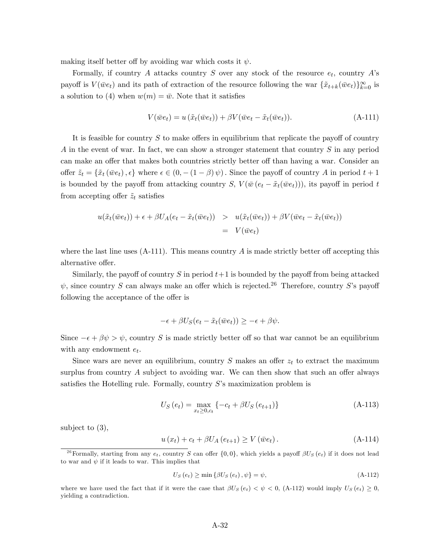making itself better off by avoiding war which costs it  $\psi$ .

Formally, if country A attacks country S over any stock of the resource  $e_t$ , country A's payoff is  $V(\bar{w}e_t)$  and its path of extraction of the resource following the war  $\{\tilde{x}_{t+k}(\bar{w}e_t)\}_{k=0}^{\infty}$  is a solution to (4) when  $w(m) = \bar{w}$ . Note that it satisfies

$$
V(\bar{w}e_t) = u(\tilde{x}_t(\bar{w}e_t)) + \beta V(\bar{w}e_t - \tilde{x}_t(\bar{w}e_t)).
$$
\n(A-111)

It is feasible for country  $S$  to make offers in equilibrium that replicate the payoff of country A in the event of war. In fact, we can show a stronger statement that country S in any period can make an offer that makes both countries strictly better off than having a war. Consider an offer  $\tilde{z}_t = \{\tilde{x}_t \, (\bar{w}e_t), \epsilon\}$  where  $\epsilon \in (0, -(1-\beta)\,\psi)$ . Since the payoff of country A in period  $t+1$ is bounded by the payoff from attacking country S,  $V(\bar{w}(e_t - \tilde{x}_t(\bar{w}e_t)))$ , its payoff in period t from accepting offer  $\tilde{z}_t$  satisfies

$$
u(\tilde{x}_t(\bar{w}e_t)) + \epsilon + \beta U_A(e_t - \tilde{x}_t(\bar{w}e_t)) > u(\tilde{x}_t(\bar{w}e_t)) + \beta V(\bar{w}e_t - \tilde{x}_t(\bar{w}e_t))
$$
  
=  $V(\bar{w}e_t)$ 

where the last line uses  $(A-111)$ . This means country A is made strictly better off accepting this alternative offer.

Similarly, the payoff of country S in period  $t+1$  is bounded by the payoff from being attacked  $\psi$ , since country S can always make an offer which is rejected.<sup>26</sup> Therefore, country S's payoff following the acceptance of the offer is

$$
-\epsilon + \beta U_S(e_t - \tilde{x}_t(\bar{w}e_t)) \ge -\epsilon + \beta \psi.
$$

Since  $-\epsilon + \beta \psi > \psi$ , country S is made strictly better off so that war cannot be an equilibrium with any endowment  $e_t$ .

Since wars are never an equilibrium, country  $S$  makes an offer  $z_t$  to extract the maximum surplus from country  $\tilde{A}$  subject to avoiding war. We can then show that such an offer always satisfies the Hotelling rule. Formally, country  $S$ 's maximization problem is

$$
U_S(e_t) = \max_{x_t \ge 0, c_t} \{-c_t + \beta U_S(e_{t+1})\}
$$
\n(A-113)

subject to (3),

$$
u(x_t) + c_t + \beta U_A(e_{t+1}) \ge V(\bar{w}e_t).
$$
 (A-114)

$$
U_{S}\left(e_{t}\right) \ge \min\left\{\beta U_{S}\left(e_{t}\right), \psi\right\} = \psi, \tag{A-112}
$$

where we have used the fact that if it were the case that  $\beta U_s(e_t) < \psi < 0$ , (A-112) would imply  $U_s(e_t) \geq 0$ , yielding a contradiction.

<sup>&</sup>lt;sup>26</sup>Formally, starting from any  $e_t$ , country S can offer  $\{0,0\}$ , which yields a payoff  $\beta U_S(e_t)$  if it does not lead to war and  $\psi$  if it leads to war. This implies that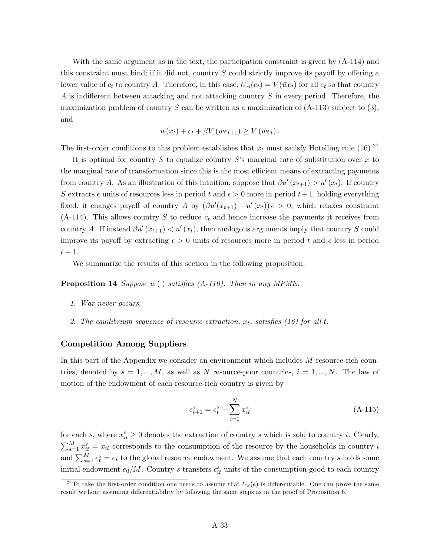With the same argument as in the text, the participation constraint is given by (A-114) and this constraint must bind; if it did not, country  $S$  could strictly improve its payoff by offering a lower value of  $c_t$  to country A. Therefore, in this case,  $U_A(e_t) = V(\bar{w}e_t)$  for all  $e_t$  so that country A is indifferent between attacking and not attacking country  $S$  in every period. Therefore, the maximization problem of country S can be written as a maximization of  $(A-113)$  subject to  $(3)$ , and

$$
u(x_t) + c_t + \beta V(\bar{w}e_{t+1}) \geq V(\bar{w}e_t).
$$

The first-order conditions to this problem establishes that  $x_t$  must satisfy Hotelling rule (16).<sup>27</sup>

It is optimal for country S to equalize country S's marginal rate of substitution over x to the marginal rate of transformation since this is the most efficient means of extracting payments from country A. As an illustration of this intuition, suppose that  $\beta u'(x_{t+1}) > u'(x_t)$ . If country S extracts  $\epsilon$  units of resources less in period t and  $\epsilon > 0$  more in period  $t + 1$ , holding everything fixed, it changes payoff of country A by  $(\beta u'(x_{t+1}) - u'(x_t)) \epsilon > 0$ , which relaxes constraint  $(A-114)$ . This allows country S to reduce  $c_t$  and hence increase the payments it receives from country A. If instead  $\beta u'(x_{t+1}) \langle u'(x_t), \rangle$  then analogous arguments imply that country S could improve its payoff by extracting  $\epsilon > 0$  units of resources more in period t and  $\epsilon$  less in period  $t+1$ .

We summarize the results of this section in the following proposition:

**Proposition 14** Suppose w (.) satisfies  $(A-110)$ . Then in any MPME:

- 1. War never occurs.
- 2. The equilibrium sequence of resource extraction,  $x_t$ , satisfies (16) for all t.

## Competition Among Suppliers

In this part of the Appendix we consider an environment which includes M resource-rich countries, denoted by  $s = 1, ..., M$ , as well as N resource-poor countries,  $i = 1, ..., N$ . The law of motion of the endowment of each resource-rich country is given by

$$
e_{t+1}^s = e_t^s - \sum_{i=1}^N x_{it}^s
$$
 (A-115)

for each s, where  $x_{it}^s \geq 0$  denotes the extraction of country s which is sold to country i. Clearly,  $\sum_{s=1}^{M} x_{it}^{s} = x_{it}$  corresponds to the consumption of the resource by the households in country i and  $\sum_{s=1}^{M} e_t^s = e_t$  to the global resource endowment. We assume that each country s holds some initial endowment  $e_0/M$ . Country s transfers  $c_{it}^s$  units of the consumption good to each country

<sup>&</sup>lt;sup>27</sup>To take the first-order condition one needs to assume that  $U_s(e)$  is differentiable. One can prove the same result without assuming differentiability by following the same steps as in the proof of Proposition 6.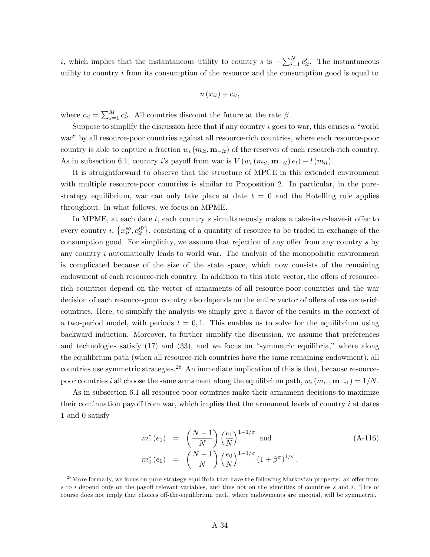*i*, which implies that the instantaneous utility to country *s* is  $-\sum_{i=1}^{N} c_{it}^{s}$ . The instantaneous utility to country  $i$  from its consumption of the resource and the consumption good is equal to

$$
u\left(x_{it}\right)+c_{it},
$$

where  $c_{it} = \sum_{s=1}^{M} c_{it}^{s}$ . All countries discount the future at the rate  $\beta$ .

Suppose to simplify the discussion here that if any country  $i$  goes to war, this causes a "world" war" by all resource-poor countries against all resource-rich countries, where each resource-poor country is able to capture a fraction  $w_i$  ( $m_{it}$ ,  $\mathbf{m}_{-it}$ ) of the reserves of each research-rich country. As in subsection 6.1, country i's payoff from war is  $V(w_i(m_{it}, \mathbf{m}_{-it})e_t) - l(m_{it}).$ 

It is straightforward to observe that the structure of MPCE in this extended environment with multiple resource-poor countries is similar to Proposition 2. In particular, in the purestrategy equilibrium, war can only take place at date  $t = 0$  and the Hotelling rule applies throughout. In what follows, we focus on MPME.

In MPME, at each date  $t$ , each country s simultaneously makes a take-it-or-leave-it offer to every country *i*,  $\{x_{it}^{so}, c_{it}^{s0}\}\$ , consisting of a quantity of resource to be traded in exchange of the consumption good. For simplicity, we assume that rejection of any offer from any country  $s$  by any country  $i$  automatically leads to world war. The analysis of the monopolistic environment is complicated because of the size of the state space, which now consists of the remaining endowment of each resource-rich country. In addition to this state vector, the offers of resourcerich countries depend on the vector of armaments of all resource-poor countries and the war decision of each resource-poor country also depends on the entire vector of offers of resource-rich countries. Here, to simplify the analysis we simply give a flavor of the results in the context of a two-period model, with periods  $t = 0, 1$ . This enables us to solve for the equilibrium using backward induction. Moreover, to further simplify the discussion, we assume that preferences and technologies satisfy  $(17)$  and  $(33)$ , and we focus on "symmetric equilibria," where along the equilibrium path (when all resource-rich countries have the same remaining endowment), all countries use symmetric strategies.<sup>28</sup> An immediate implication of this is that, because resourcepoor countries i all choose the same armament along the equilibrium path,  $w_i$   $(m_{i1}, \mathbf{m}_{-i1}) = 1/N$ .

As in subsection 6.1 all resource-poor countries make their armament decisions to maximize their continuation payoff from war, which implies that the armament levels of country  $i$  at dates 1 and 0 satisfy

$$
m_1^*(e_1) = \left(\frac{N-1}{N}\right) \left(\frac{e_1}{N}\right)^{1-1/\sigma} \text{ and}
$$
  
\n
$$
m_0^*(e_0) = \left(\frac{N-1}{N}\right) \left(\frac{e_0}{N}\right)^{1-1/\sigma} (1+\beta^{\sigma})^{1/\sigma},
$$
\n(A-116)

 $^{28}$ More formally, we focus on pure-strategy equilibria that have the following Markovian property: an offer from s to i depend only on the payoff relevant variables, and thus not on the identities of countries s and i. This of course does not imply that choices off-the-equilibrium path, where endowments are unequal, will be symmetric.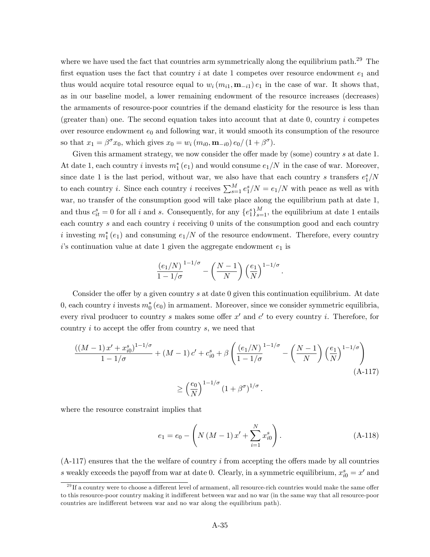where we have used the fact that countries arm symmetrically along the equilibrium path.<sup>29</sup> The first equation uses the fact that country i at date 1 competes over resource endowment  $e_1$  and thus would acquire total resource equal to  $w_i (m_{i1}, \mathbf{m}_{-i1}) e_1$  in the case of war. It shows that, as in our baseline model, a lower remaining endowment of the resource increases (decreases) the armaments of resource-poor countries if the demand elasticity for the resource is less than (greater than) one. The second equation takes into account that at date  $0$ , country i competes over resource endowment  $e_0$  and following war, it would smooth its consumption of the resource so that  $x_1 = \beta^{\sigma} x_0$ , which gives  $x_0 = w_i (m_{i0}, \mathbf{m}_{-i0}) e_0 / (1 + \beta^{\sigma})$ .

Given this armament strategy, we now consider the offer made by (some) country  $s$  at date 1. At date 1, each country i invests  $m_1^*(e_1)$  and would consume  $e_1/N$  in the case of war. Moreover, since date 1 is the last period, without war, we also have that each country s transfers  $e_1^s/N$ to each country *i*. Since each country *i* receives  $\sum_{s=1}^{M} e_1^s/N = e_1/N$  with peace as well as with war, no transfer of the consumption good will take place along the equilibrium path at date 1, and thus  $c_{it}^s = 0$  for all i and s. Consequently, for any  $\{e_1^s\}_{s=1}^M$ , the equilibrium at date 1 entails each country  $s$  and each country  $i$  receiving  $0$  units of the consumption good and each country i investing  $m_1^*(e_1)$  and consuming  $e_1/N$  of the resource endowment. Therefore, every country  $i$ 's continuation value at date 1 given the aggregate endowment  $e_1$  is

$$
\frac{(e_1/N)}{1-1/\sigma}^{1-1/\sigma} - \left(\frac{N-1}{N}\right) \left(\frac{e_1}{N}\right)^{1-1/\sigma}.
$$

Consider the offer by a given country  $s$  at date 0 given this continuation equilibrium. At date 0, each country *i* invests  $m_0^*(e_0)$  in armament. Moreover, since we consider symmetric equilibria, every rival producer to country s makes some offer  $x'$  and  $c'$  to every country i. Therefore, for country  $i$  to accept the offer from country  $s$ , we need that

$$
\frac{((M-1)x' + x_{i0}^{s})^{1-1/\sigma}}{1-1/\sigma} + (M-1)c' + c_{i0}^{s} + \beta \left(\frac{(e_1/N)}{1-1/\sigma}^{1-1/\sigma} - \left(\frac{N-1}{N}\right)\left(\frac{e_1}{N}\right)^{1-1/\sigma}\right)
$$
  

$$
\geq \left(\frac{e_0}{N}\right)^{1-1/\sigma} (1+\beta^{\sigma})^{1/\sigma}.
$$
 (A-117)

where the resource constraint implies that

$$
e_1 = e_0 - \left( N \left( M - 1 \right) x' + \sum_{i=1}^{N} x_{i0}^s \right). \tag{A-118}
$$

 $(A-117)$  ensures that the the welfare of country i from accepting the offers made by all countries s weakly exceeds the payoff from war at date 0. Clearly, in a symmetric equilibrium,  $x_{i0}^s = x'$  and

 $^{29}$ If a country were to choose a different level of armament, all resource-rich countries would make the same offer to this resource-poor country making it indifferent between war and no war (in the same way that all resource-poor countries are indifferent between war and no war along the equilibrium path).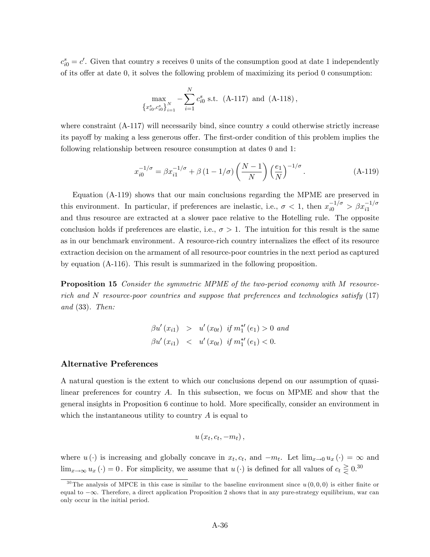$c_{i0}^s = c'$ . Given that country s receives 0 units of the consumption good at date 1 independently of its offer at date 0, it solves the following problem of maximizing its period 0 consumption:

$$
\max_{\left\{x_{i0}^s, c_{i0}^s\right\}_{i=1}^N} - \sum_{i=1}^N c_{i0}^s \text{ s.t. (A-117) and (A-118)},
$$

where constraint (A-117) will necessarily bind, since country s could otherwise strictly increase its payoff by making a less generous offer. The first-order condition of this problem implies the following relationship between resource consumption at dates 0 and 1:

$$
x_{i0}^{-1/\sigma} = \beta x_{i1}^{-1/\sigma} + \beta (1 - 1/\sigma) \left(\frac{N-1}{N}\right) \left(\frac{e_1}{N}\right)^{-1/\sigma}.
$$
 (A-119)

Equation (A-119) shows that our main conclusions regarding the MPME are preserved in this environment. In particular, if preferences are inelastic, i.e.,  $\sigma < 1$ , then  $x_{i0}^{-1/\sigma} > \beta x_{i1}^{-1/\sigma}$ and thus resource are extracted at a slower pace relative to the Hotelling rule. The opposite conclusion holds if preferences are elastic, i.e.,  $\sigma > 1$ . The intuition for this result is the same as in our benchmark environment. A resource-rich country internalizes the effect of its resource extraction decision on the armament of all resource-poor countries in the next period as captured by equation (A-116). This result is summarized in the following proposition.

Proposition 15 Consider the symmetric MPME of the two-period economy with M resourcerich and N resource-poor countries and suppose that preferences and technologies satisfy (17) and (33). Then:

$$
\beta u'(x_{i1}) > u'(x_{0t}) \text{ if } m_1^{*'}(e_1) > 0 \text{ and}
$$
  

$$
\beta u'(x_{i1}) < u'(x_{0t}) \text{ if } m_1^{*'}(e_1) < 0.
$$

#### Alternative Preferences

A natural question is the extent to which our conclusions depend on our assumption of quasilinear preferences for country A. In this subsection, we focus on MPME and show that the general insights in Proposition 6 continue to hold. More specifically, consider an environment in which the instantaneous utility to country  $A$  is equal to

$$
u\left(x_t,c_t,-m_t\right),\,
$$

where  $u(\cdot)$  is increasing and globally concave in  $x_t, c_t$ , and  $-m_t$ . Let  $\lim_{x\to 0} u_x(\cdot) = \infty$  and  $\lim_{x\to\infty} u_x(\cdot) = 0$ . For simplicity, we assume that  $u(\cdot)$  is defined for all values of  $c_t \gtrless 0.30$ 

<sup>&</sup>lt;sup>30</sup>The analysis of MPCE in this case is similar to the baseline environment since  $u(0,0,0)$  is either finite or equal to  $-\infty$ . Therefore, a direct application Proposition 2 shows that in any pure-strategy equilibrium, war can only occur in the initial period.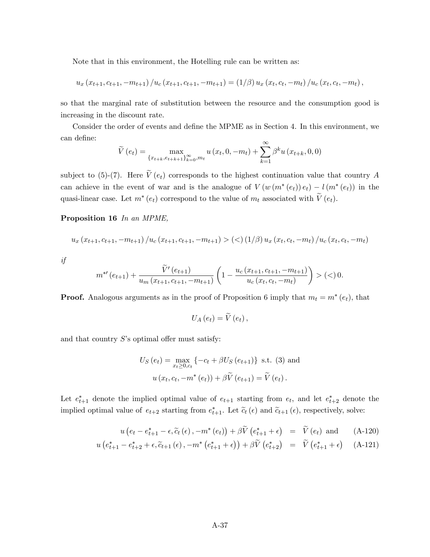Note that in this environment, the Hotelling rule can be written as:

$$
u_x(x_{t+1},c_{t+1},-m_{t+1})/u_c(x_{t+1},c_{t+1},-m_{t+1}) = (1/\beta) u_x(x_t,c_t,-m_t)/u_c(x_t,c_t,-m_t),
$$

so that the marginal rate of substitution between the resource and the consumption good is increasing in the discount rate.

Consider the order of events and define the MPME as in Section 4. In this environment, we can define:

$$
\widetilde{V}(e_t) = \max_{\{x_{t+k}, e_{t+k+1}\}_{k=0}^{\infty}, m_t} u(x_t, 0, -m_t) + \sum_{k=1}^{\infty} \beta^k u(x_{t+k}, 0, 0)
$$

subject to (5)-(7). Here  $\tilde{V}(e_t)$  corresponds to the highest continuation value that country A can achieve in the event of war and is the analogue of  $V(w(m^*(e_t))e_t) - l(m^*(e_t))$  in the quasi-linear case. Let  $m^*(e_t)$  correspond to the value of  $m_t$  associated with  $V(e_t)$ .

Proposition 16 In an MPME,

$$
u_x(x_{t+1}, c_{t+1}, -m_{t+1})/u_c(x_{t+1}, c_{t+1}, -m_{t+1}) > (2)(1/\beta) u_x(x_t, c_t, -m_t)/u_c(x_t, c_t, -m_t)
$$

if

$$
m^{*'}(e_{t+1}) + \frac{\widetilde{V}'(e_{t+1})}{u_m(x_{t+1}, c_{t+1}, -m_{t+1})} \left(1 - \frac{u_c(x_{t+1}, c_{t+1}, -m_{t+1})}{u_c(x_t, c_t, -m_t)}\right) > (<0.
$$

**Proof.** Analogous arguments as in the proof of Proposition 6 imply that  $m_t = m^*(e_t)$ , that

$$
U_{A}\left( e_{t}\right) =\widetilde{V}\left( e_{t}\right) ,
$$

and that country  $S$ 's optimal offer must satisfy:

$$
U_S(e_t) = \max_{x_t \ge 0, c_t} \{-c_t + \beta U_S(e_{t+1})\} \text{ s.t. (3) and}
$$
  
 
$$
u(x_t, c_t, -m^*(e_t)) + \beta \tilde{V}(e_{t+1}) = \tilde{V}(e_t).
$$

Let  $e_{t+1}^*$  denote the implied optimal value of  $e_{t+1}$  starting from  $e_t$ , and let  $e_{t+2}^*$  denote the implied optimal value of  $e_{t+2}$  starting from  $e_{t+1}^*$ . Let  $\tilde{e}_t(\epsilon)$  and  $\tilde{e}_{t+1}(\epsilon)$ , respectively, solve:

$$
u\left(e_t - e_{t+1}^* - \epsilon, \widetilde{e}_t\left(\epsilon\right), -m^*\left(e_t\right)\right) + \beta \widetilde{V}\left(e_{t+1}^* + \epsilon\right) = \widetilde{V}\left(e_t\right) \text{ and } \tag{A-120}
$$

$$
u\left(e_{t+1}^{*}-e_{t+2}^{*}+\epsilon,\widetilde{c}_{t+1}\left(\epsilon\right),-m^{*}\left(e_{t+1}^{*}+\epsilon\right)\right)+\beta\widetilde{V}\left(e_{t+2}^{*}\right) = \widetilde{V}\left(e_{t+1}^{*}+\epsilon\right) \quad \text{(A-121)}
$$